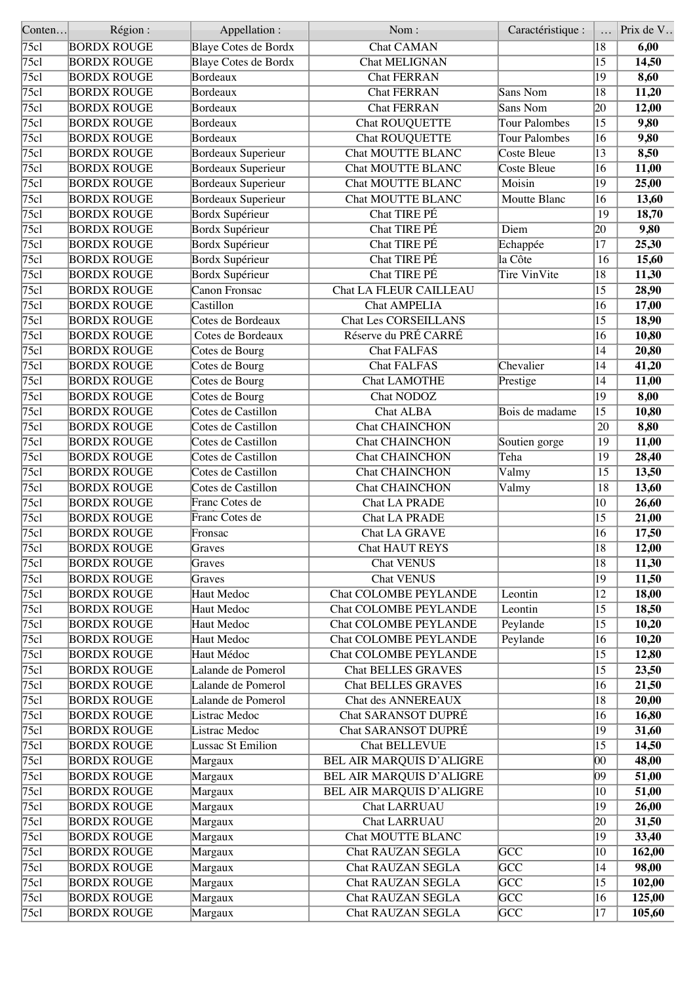| Conten | Région:            | Appellation:                | Nom:                         | Caractéristique :    |                 | Prix de V |
|--------|--------------------|-----------------------------|------------------------------|----------------------|-----------------|-----------|
| 75cl   | <b>BORDX ROUGE</b> | Blaye Cotes de Bordx        | <b>Chat CAMAN</b>            |                      | 18              | 6,00      |
| 75c1   | <b>BORDX ROUGE</b> | <b>Blaye Cotes de Bordx</b> | <b>Chat MELIGNAN</b>         |                      | 15              | 14,50     |
| 75c1   | <b>BORDX ROUGE</b> | Bordeaux                    | <b>Chat FERRAN</b>           |                      | 19              | 8,60      |
| 75c1   | <b>BORDX ROUGE</b> | Bordeaux                    | <b>Chat FERRAN</b>           | Sans Nom             | 18              | 11,20     |
| 75c1   | <b>BORDX ROUGE</b> | Bordeaux                    | <b>Chat FERRAN</b>           | Sans Nom             | 20              | 12,00     |
| 75c1   | <b>BORDX ROUGE</b> | Bordeaux                    | <b>Chat ROUQUETTE</b>        | <b>Tour Palombes</b> | $\overline{15}$ | 9,80      |
| 75c1   | <b>BORDX ROUGE</b> | Bordeaux                    | <b>Chat ROUQUETTE</b>        | <b>Tour Palombes</b> | 16              | 9,80      |
| 75c1   | <b>BORDX ROUGE</b> | Bordeaux Superieur          | Chat MOUTTE BLANC            | Coste Bleue          | 13              | 8,50      |
| 75c1   | <b>BORDX ROUGE</b> | <b>Bordeaux Superieur</b>   | <b>Chat MOUTTE BLANC</b>     | <b>Coste Bleue</b>   | $\overline{16}$ | 11,00     |
| 75c1   | <b>BORDX ROUGE</b> | Bordeaux Superieur          | Chat MOUTTE BLANC            | Moisin               | 19              | 25,00     |
| 75c1   | <b>BORDX ROUGE</b> | <b>Bordeaux Superieur</b>   | Chat MOUTTE BLANC            | Moutte Blanc         | 16              | 13,60     |
| 75c1   | <b>BORDX ROUGE</b> | Bordx Supérieur             | <b>Chat TIRE PÉ</b>          |                      | $\overline{19}$ | 18,70     |
| 75c1   | <b>BORDX ROUGE</b> | Bordx Supérieur             | Chat TIRE PÉ                 | Diem                 | 20              | 9,80      |
| 75c1   | <b>BORDX ROUGE</b> | Bordx Supérieur             | Chat TIRE PÉ                 | Echappée             | 17              | 25,30     |
| 75cl   | <b>BORDX ROUGE</b> | Bordx Supérieur             | Chat TIRE PÉ                 | la Côte              | 16              | 15,60     |
| 75c1   | <b>BORDX ROUGE</b> | Bordx Supérieur             | <b>Chat TIRE PÉ</b>          | <b>Tire VinVite</b>  | 18              | 11,30     |
| 75c1   | <b>BORDX ROUGE</b> | Canon Fronsac               | Chat LA FLEUR CAILLEAU       |                      | 15              | 28,90     |
| 75c1   | <b>BORDX ROUGE</b> | Castillon                   | <b>Chat AMPELIA</b>          |                      | 16              | 17,00     |
| 75c1   | <b>BORDX ROUGE</b> | Cotes de Bordeaux           | <b>Chat Les CORSEILLANS</b>  |                      | $\overline{15}$ | 18,90     |
| 75c1   | <b>BORDX ROUGE</b> | Cotes de Bordeaux           | Réserve du PRÉ CARRÉ         |                      | 16              | 10,80     |
| 75c1   | <b>BORDX ROUGE</b> | Cotes de Bourg              | <b>Chat FALFAS</b>           |                      | 14              | 20,80     |
| 75c1   | <b>BORDX ROUGE</b> | Cotes de Bourg              | <b>Chat FALFAS</b>           | Chevalier            | 14              | 41,20     |
| 75c1   | <b>BORDX ROUGE</b> | Cotes de Bourg              | <b>Chat LAMOTHE</b>          | Prestige             | 14              | 11,00     |
| 75c1   | <b>BORDX ROUGE</b> | Cotes de Bourg              | Chat NODOZ                   |                      | $\overline{19}$ | 8,00      |
| 75c1   | <b>BORDX ROUGE</b> | Cotes de Castillon          | <b>Chat ALBA</b>             | Bois de madame       | $\overline{15}$ | 10,80     |
| 75c1   |                    | Cotes de Castillon          |                              |                      | 20              |           |
|        | <b>BORDX ROUGE</b> |                             | <b>Chat CHAINCHON</b>        |                      |                 | 8,80      |
| 75c1   | <b>BORDX ROUGE</b> | Cotes de Castillon          | Chat CHAINCHON               | Soutien gorge        | 19              | 11,00     |
| 75c1   | <b>BORDX ROUGE</b> | Cotes de Castillon          | <b>Chat CHAINCHON</b>        | Teha                 | 19              | 28,40     |
| 75c1   | <b>BORDX ROUGE</b> | Cotes de Castillon          | <b>Chat CHAINCHON</b>        | Valmy                | 15              | 13,50     |
| 75c1   | <b>BORDX ROUGE</b> | Cotes de Castillon          | Chat CHAINCHON               | Valmy                | 18              | 13,60     |
| 75c1   | <b>BORDX ROUGE</b> | Franc Cotes de              | <b>Chat LA PRADE</b>         |                      | 10              | 26,60     |
| 75c1   | <b>BORDX ROUGE</b> | Franc Cotes de              | Chat LA PRADE                |                      | 15              | 21,00     |
| 75c1   | <b>BORDX ROUGE</b> | Fronsac                     | Chat LA GRAVE                |                      | 16              | 17,50     |
| 75c1   | <b>BORDX ROUGE</b> | Graves                      | <b>Chat HAUT REYS</b>        |                      | $\overline{18}$ | 12,00     |
| 75cl   | <b>BORDX ROUGE</b> | Graves                      | <b>Chat VENUS</b>            |                      | 18              | 11,30     |
| 75c1   | <b>BORDX ROUGE</b> | Graves                      | <b>Chat VENUS</b>            |                      | 19              | 11,50     |
| 75c1   | <b>BORDX ROUGE</b> | Haut Medoc                  | <b>Chat COLOMBE PEYLANDE</b> | Leontin              | $ 12\rangle$    | 18,00     |
| 75c1   | <b>BORDX ROUGE</b> | Haut Medoc                  | <b>Chat COLOMBE PEYLANDE</b> | Leontin              | 15              | 18,50     |
| 75c1   | <b>BORDX ROUGE</b> | Haut Medoc                  | <b>Chat COLOMBE PEYLANDE</b> | Peylande             | 15              | 10,20     |
| 75c1   | <b>BORDX ROUGE</b> | Haut Medoc                  | <b>Chat COLOMBE PEYLANDE</b> | Peylande             | 16              | 10,20     |
| 75c1   | <b>BORDX ROUGE</b> | Haut Médoc                  | <b>Chat COLOMBE PEYLANDE</b> |                      | 15              | 12,80     |
| 75c1   | <b>BORDX ROUGE</b> | Lalande de Pomerol          | <b>Chat BELLES GRAVES</b>    |                      | 15              | 23,50     |
| 75c1   | <b>BORDX ROUGE</b> | Lalande de Pomerol          | <b>Chat BELLES GRAVES</b>    |                      | 16              | 21,50     |
| 75c1   | <b>BORDX ROUGE</b> | Lalande de Pomerol          | Chat des ANNEREAUX           |                      | 18              | 20,00     |
| 75c1   | <b>BORDX ROUGE</b> | Listrac Medoc               | Chat SARANSOT DUPRÉ          |                      | 16              | 16,80     |
| 75c1   | <b>BORDX ROUGE</b> | Listrac Medoc               | Chat SARANSOT DUPRÉ          |                      | 19              | 31,60     |
| 75c1   | <b>BORDX ROUGE</b> | Lussac St Emilion           | <b>Chat BELLEVUE</b>         |                      | 15              | 14,50     |
| 75c1   | <b>BORDX ROUGE</b> | Margaux                     | BEL AIR MARQUIS D'ALIGRE     |                      | 00              | 48,00     |
| 75c1   | <b>BORDX ROUGE</b> | Margaux                     | BEL AIR MARQUIS D'ALIGRE     |                      | 09              | 51,00     |
| 75c1   | <b>BORDX ROUGE</b> | Margaux                     | BEL AIR MARQUIS D'ALIGRE     |                      | 10              | 51,00     |
| 75c1   | <b>BORDX ROUGE</b> | Margaux                     | <b>Chat LARRUAU</b>          |                      | 19              | 26,00     |
| 75c1   | <b>BORDX ROUGE</b> | Margaux                     | <b>Chat LARRUAU</b>          |                      | 20              | 31,50     |
| 75c1   | <b>BORDX ROUGE</b> | Margaux                     | Chat MOUTTE BLANC            |                      | 19              | 33,40     |
| 75c1   | <b>BORDX ROUGE</b> | Margaux                     | <b>Chat RAUZAN SEGLA</b>     | <b>GCC</b>           | 10              | 162,00    |
| 75c1   | <b>BORDX ROUGE</b> | Margaux                     | Chat RAUZAN SEGLA            | <b>GCC</b>           | 14              | 98,00     |
| 75cl   | <b>BORDX ROUGE</b> | Margaux                     | Chat RAUZAN SEGLA            | <b>GCC</b>           | 15              | 102,00    |
| 75c1   | <b>BORDX ROUGE</b> | Margaux                     | Chat RAUZAN SEGLA            | GCC                  | 16              | 125,00    |
| 75cl   | <b>BORDX ROUGE</b> | Margaux                     | Chat RAUZAN SEGLA            | GCC                  | 17              | 105,60    |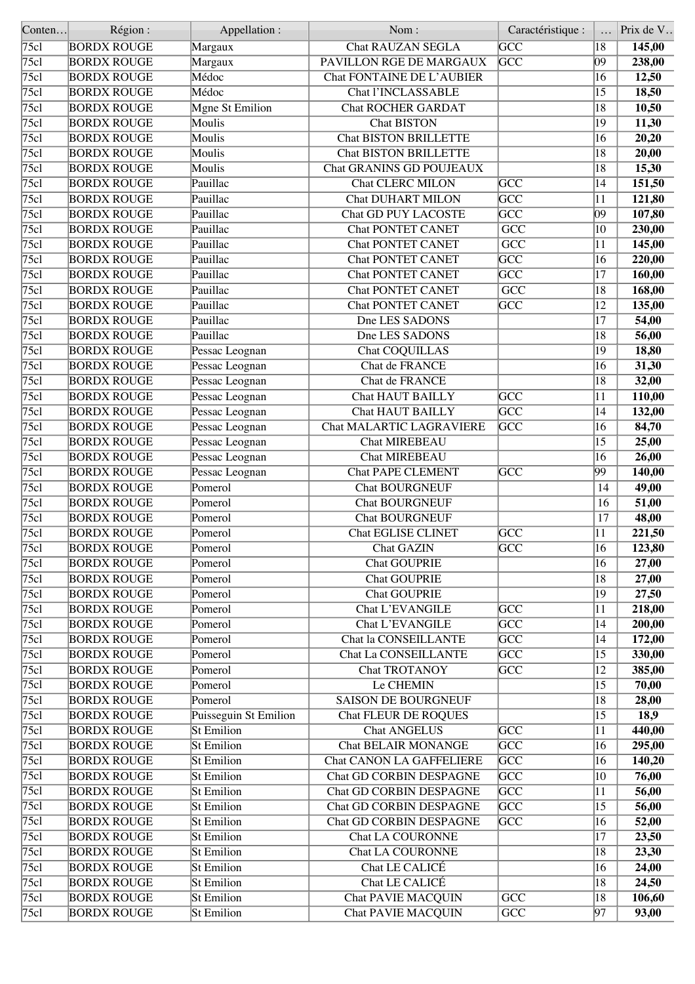| Conten             | Région:            | Appellation :         | Nom:                            | Caractéristique :       |                 | Prix de V |
|--------------------|--------------------|-----------------------|---------------------------------|-------------------------|-----------------|-----------|
| $\overline{75c}$ l | <b>BORDX ROUGE</b> | Margaux               | <b>Chat RAUZAN SEGLA</b>        | $\overline{GCC}$        | 18              | 145,00    |
| 75c1               | <b>BORDX ROUGE</b> | Margaux               | PAVILLON RGE DE MARGAUX         | <b>GCC</b>              | 09              | 238,00    |
| 75c1               | <b>BORDX ROUGE</b> | Médoc                 | Chat FONTAINE DE L'AUBIER       |                         | 16              | 12,50     |
| 75c1               | <b>BORDX ROUGE</b> | Médoc                 | <b>Chat l'INCLASSABLE</b>       |                         | 15              | 18,50     |
| 75c1               | <b>BORDX ROUGE</b> | Mgne St Emilion       | <b>Chat ROCHER GARDAT</b>       |                         | 18              | 10,50     |
| 75c1               | <b>BORDX ROUGE</b> | Moulis                | <b>Chat BISTON</b>              |                         | 19              | 11,30     |
| 75c1               | <b>BORDX ROUGE</b> | Moulis                | <b>Chat BISTON BRILLETTE</b>    |                         | 16              | 20,20     |
| 75c1               | <b>BORDX ROUGE</b> | Moulis                | <b>Chat BISTON BRILLETTE</b>    |                         | 18              | 20,00     |
| 75c1               | <b>BORDX ROUGE</b> | Moulis                | Chat GRANINS GD POUJEAUX        |                         | 18              | 15,30     |
| 75c1               | <b>BORDX ROUGE</b> | Pauillac              | <b>Chat CLERC MILON</b>         | <b>GCC</b>              | 14              | 151,50    |
| 75c1               |                    | Pauillac              | <b>Chat DUHART MILON</b>        | $\overline{\text{GCC}}$ | 11              |           |
|                    | <b>BORDX ROUGE</b> |                       |                                 | $\overline{\text{GCC}}$ | $ 09\rangle$    | 121,80    |
| 75c1               | <b>BORDX ROUGE</b> | Pauillac              | <b>Chat GD PUY LACOSTE</b>      |                         |                 | 107,80    |
| 75c1               | <b>BORDX ROUGE</b> | Pauillac              | <b>Chat PONTET CANET</b>        | $\overline{GCC}$        | $ 10\rangle$    | 230,00    |
| 75c1               | <b>BORDX ROUGE</b> | Pauillac              | <b>Chat PONTET CANET</b>        | $\overline{GCC}$        | 11              | 145,00    |
| 75c1               | <b>BORDX ROUGE</b> | Pauillac              | <b>Chat PONTET CANET</b>        | $\overline{\text{GCC}}$ | 16              | 220,00    |
| 75c1               | <b>BORDX ROUGE</b> | Pauillac              | <b>Chat PONTET CANET</b>        | $\overline{\text{GCC}}$ | 17              | 160,00    |
| 75c1               | <b>BORDX ROUGE</b> | Pauillac              | <b>Chat PONTET CANET</b>        | $\overline{GCC}$        | 18              | 168,00    |
| 75c1               | <b>BORDX ROUGE</b> | Pauillac              | <b>Chat PONTET CANET</b>        | <b>GCC</b>              | 12              | 135,00    |
| $\overline{75c1}$  | <b>BORDX ROUGE</b> | Pauillac              | Dne LES SADONS                  |                         | $\overline{17}$ | 54,00     |
| 75c1               | <b>BORDX ROUGE</b> | Pauillac              | Dne LES SADONS                  |                         | 18              | 56,00     |
| 75cl               | <b>BORDX ROUGE</b> | Pessac Leognan        | Chat COQUILLAS                  |                         | 19              | 18,80     |
| 75c1               | <b>BORDX ROUGE</b> | Pessac Leognan        | Chat de FRANCE                  |                         | 16              | 31,30     |
| 75c1               | <b>BORDX ROUGE</b> | Pessac Leognan        | Chat de FRANCE                  |                         | 18              | 32,00     |
| 75c1               | <b>BORDX ROUGE</b> | Pessac Leognan        | <b>Chat HAUT BAILLY</b>         | $\overline{\text{GCC}}$ | 11              | 110,00    |
| 75c1               | <b>BORDX ROUGE</b> | Pessac Leognan        | <b>Chat HAUT BAILLY</b>         | GCC                     | 14              | 132,00    |
| 75c1               | <b>BORDX ROUGE</b> | Pessac Leognan        | Chat MALARTIC LAGRAVIERE        | <b>GCC</b>              | 16              | 84,70     |
| 75c1               | <b>BORDX ROUGE</b> | Pessac Leognan        | <b>Chat MIREBEAU</b>            |                         | 15              | 25,00     |
| 75c1               | <b>BORDX ROUGE</b> | Pessac Leognan        | <b>Chat MIREBEAU</b>            |                         | 16              | 26,00     |
| 75c1               | <b>BORDX ROUGE</b> | Pessac Leognan        | <b>Chat PAPE CLEMENT</b>        | GCC                     | 99              | 140,00    |
| 75c1               |                    | Pomerol               | <b>Chat BOURGNEUF</b>           |                         | 14              |           |
|                    | <b>BORDX ROUGE</b> |                       |                                 |                         |                 | 49,00     |
| $\overline{75c1}$  | <b>BORDX ROUGE</b> | Pomerol               | <b>Chat BOURGNEUF</b>           |                         | 16              | 51,00     |
| 75c1               | <b>BORDX ROUGE</b> | Pomerol               | <b>Chat BOURGNEUF</b>           |                         | 17              | 48,00     |
| 75c1               | <b>BORDX ROUGE</b> | Pomerol               | <b>Chat EGLISE CLINET</b>       | <b>GCC</b>              | 11              | 221,50    |
| 75c1               | <b>BORDX ROUGE</b> | Pomerol               | <b>Chat GAZIN</b>               | GCC                     | $\overline{16}$ | 123,80    |
| 75c1               | <b>BORDX ROUGE</b> | Pomerol               | <b>Chat GOUPRIE</b>             |                         | 16              | 27,00     |
| 75c1               | <b>BORDX ROUGE</b> | Pomerol               | <b>Chat GOUPRIE</b>             |                         | 18              | 27,00     |
| 75c1               | <b>BORDX ROUGE</b> | Pomerol               | <b>Chat GOUPRIE</b>             |                         | $\overline{19}$ | 27,50     |
| 75c1               | <b>BORDX ROUGE</b> | Pomerol               | Chat L'EVANGILE                 | <b>GCC</b>              | 11              | 218,00    |
| 75cl               | <b>BORDX ROUGE</b> | Pomerol               | <b>Chat L'EVANGILE</b>          | $\overline{\text{GCC}}$ | 14              | 200,00    |
| 75c1               | <b>BORDX ROUGE</b> | Pomerol               | Chat la CONSEILLANTE            | $\overline{GCC}$        | 14              | 172,00    |
| 75c1               | <b>BORDX ROUGE</b> | Pomerol               | <b>Chat La CONSEILLANTE</b>     | $\overline{GCC}$        | $\overline{15}$ | 330,00    |
| 75c1               | <b>BORDX ROUGE</b> | Pomerol               | Chat TROTANOY                   | $\overline{\text{GCC}}$ | $ 12\rangle$    | 385,00    |
| 75c1               | <b>BORDX ROUGE</b> | Pomerol               | Le CHEMIN                       |                         | $\overline{15}$ | 70,00     |
| 75c1               | <b>BORDX ROUGE</b> | Pomerol               | <b>SAISON DE BOURGNEUF</b>      |                         | 18              | 28,00     |
| 75c1               | <b>BORDX ROUGE</b> | Puisseguin St Emilion | <b>Chat FLEUR DE ROQUES</b>     |                         | 15              | 18,9      |
| 75c1               | <b>BORDX ROUGE</b> | <b>St Emilion</b>     | <b>Chat ANGELUS</b>             | $\overline{GCC}$        | $\overline{11}$ | 440,00    |
| 75c1               | <b>BORDX ROUGE</b> | <b>St Emilion</b>     | <b>Chat BELAIR MONANGE</b>      | $\overline{GCC}$        | 16              | 295,00    |
| 75c1               | <b>BORDX ROUGE</b> | St Emilion            | <b>Chat CANON LA GAFFELIERE</b> | GCC                     | 16              | 140,20    |
| 75c1               | <b>BORDX ROUGE</b> | St Emilion            | Chat GD CORBIN DESPAGNE         | GCC                     | 10              | 76,00     |
| 75c1               | <b>BORDX ROUGE</b> | <b>St Emilion</b>     | Chat GD CORBIN DESPAGNE         | <b>GCC</b>              | 11              | 56,00     |
| 75c1               | <b>BORDX ROUGE</b> | St Emilion            | Chat GD CORBIN DESPAGNE         | $\overline{\text{GCC}}$ | 15              | 56,00     |
| 75c1               | <b>BORDX ROUGE</b> | St Emilion            | Chat GD CORBIN DESPAGNE         | <b>GCC</b>              | 16              | 52,00     |
| 75c1               | <b>BORDX ROUGE</b> | <b>St Emilion</b>     | <b>Chat LA COURONNE</b>         |                         | 17              | 23,50     |
| 75c1               | <b>BORDX ROUGE</b> | St Emilion            | <b>Chat LA COURONNE</b>         |                         | 18              | 23,30     |
|                    |                    |                       |                                 |                         |                 |           |
| 75c1               | <b>BORDX ROUGE</b> | <b>St Emilion</b>     | Chat LE CALICÉ                  |                         | 16              | 24,00     |
| 75c1               | <b>BORDX ROUGE</b> | <b>St Emilion</b>     | Chat LE CALICÉ                  |                         | 18              | 24,50     |
| 75c1               | <b>BORDX ROUGE</b> | <b>St Emilion</b>     | <b>Chat PAVIE MACQUIN</b>       | GCC                     | 18              | 106,60    |
| 75c1               | <b>BORDX ROUGE</b> | St Emilion            | <b>Chat PAVIE MACQUIN</b>       | $\overline{GCC}$        | $\overline{97}$ | 93,00     |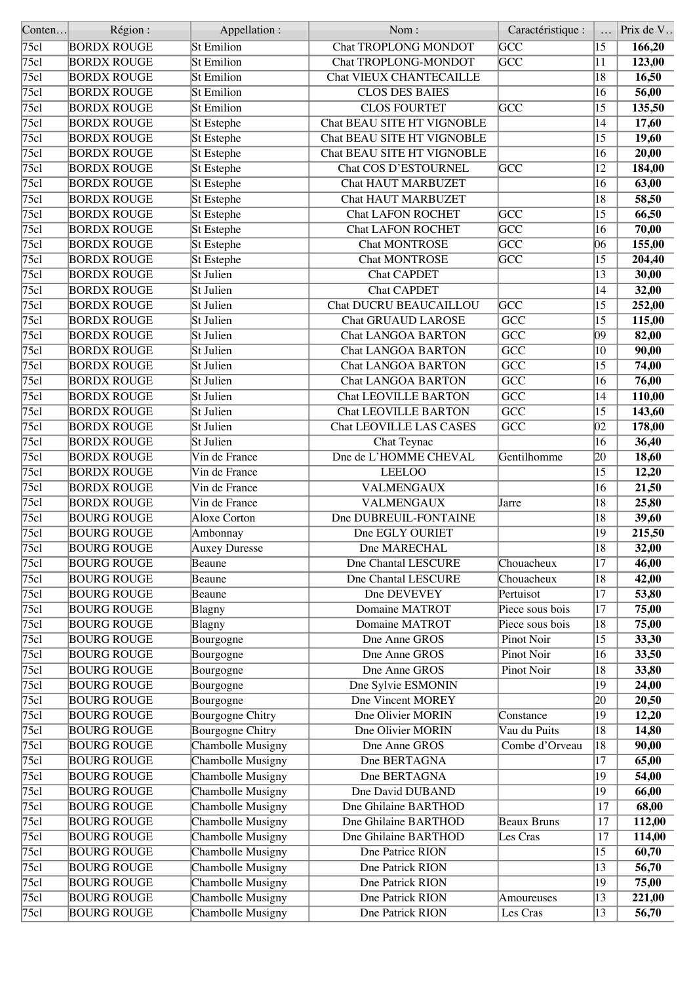| Conten            | Région:            | Appellation :           | Nom:                           | Caractéristique :       |                  | Prix de V |
|-------------------|--------------------|-------------------------|--------------------------------|-------------------------|------------------|-----------|
| $\overline{75c1}$ | <b>BORDX ROUGE</b> | <b>St Emilion</b>       | <b>Chat TROPLONG MONDOT</b>    | $\overline{GCC}$        | $\overline{15}$  | 166,20    |
| 75c1              | <b>BORDX ROUGE</b> | <b>St Emilion</b>       | Chat TROPLONG-MONDOT           | <b>GCC</b>              | 11               | 123,00    |
| 75c1              | <b>BORDX ROUGE</b> | <b>St Emilion</b>       | Chat VIEUX CHANTECAILLE        |                         | 18               | 16,50     |
| 75c1              | <b>BORDX ROUGE</b> | <b>St Emilion</b>       | <b>CLOS DES BAIES</b>          |                         | 16               | 56,00     |
| 75c1              | <b>BORDX ROUGE</b> | <b>St Emilion</b>       | <b>CLOS FOURTET</b>            | $\overline{GCC}$        | 15               | 135,50    |
| 75c1              | <b>BORDX ROUGE</b> | <b>St</b> Estephe       | Chat BEAU SITE HT VIGNOBLE     |                         | 14               | 17,60     |
| 75c1              | <b>BORDX ROUGE</b> | St Estephe              | Chat BEAU SITE HT VIGNOBLE     |                         | 15               | 19,60     |
| 75c1              | <b>BORDX ROUGE</b> | St Estephe              | Chat BEAU SITE HT VIGNOBLE     |                         | 16               | 20,00     |
| 75c1              | <b>BORDX ROUGE</b> | St Estephe              | Chat COS D'ESTOURNEL           | <b>GCC</b>              | 12               | 184,00    |
| 75c1              | <b>BORDX ROUGE</b> | St Estephe              | <b>Chat HAUT MARBUZET</b>      |                         | 16               | 63,00     |
| 75c1              |                    |                         | <b>Chat HAUT MARBUZET</b>      |                         | 18               |           |
|                   | <b>BORDX ROUGE</b> | St Estephe              |                                |                         |                  | 58,50     |
| 75c1              | <b>BORDX ROUGE</b> | St Estephe              | <b>Chat LAFON ROCHET</b>       | $\overline{GCC}$        | 15               | 66,50     |
| 75c1              | <b>BORDX ROUGE</b> | <b>St</b> Estephe       | <b>Chat LAFON ROCHET</b>       | $\overline{\text{GCC}}$ | $\overline{16}$  | 70,00     |
| 75c1              | <b>BORDX ROUGE</b> | St Estephe              | <b>Chat MONTROSE</b>           | $\overline{\text{GCC}}$ | 06               | 155,00    |
| 75c1              | <b>BORDX ROUGE</b> | St Estephe              | <b>Chat MONTROSE</b>           | $\overline{GCC}$        | 15               | 204,40    |
| 75c1              | <b>BORDX ROUGE</b> | St Julien               | <b>Chat CAPDET</b>             |                         | 13               | 30,00     |
| 75c1              | <b>BORDX ROUGE</b> | St Julien               | <b>Chat CAPDET</b>             |                         | 14               | 32,00     |
| 75c1              | <b>BORDX ROUGE</b> | St Julien               | Chat DUCRU BEAUCAILLOU         | $\overline{\text{GCC}}$ | 15               | 252,00    |
| 75c1              | <b>BORDX ROUGE</b> | St Julien               | <b>Chat GRUAUD LAROSE</b>      | $\overline{GCC}$        | $\overline{15}$  | 115,00    |
| 75c1              | <b>BORDX ROUGE</b> | St Julien               | <b>Chat LANGOA BARTON</b>      | GCC                     | 09               | 82,00     |
| 75cl              | <b>BORDX ROUGE</b> | St Julien               | <b>Chat LANGOA BARTON</b>      | $\overline{GCC}$        | 10               | 90,00     |
| $\overline{75c1}$ | <b>BORDX ROUGE</b> | St Julien               | <b>Chat LANGOA BARTON</b>      | $\overline{GCC}$        | 15               | 74,00     |
| 75c1              | <b>BORDX ROUGE</b> | St Julien               | <b>Chat LANGOA BARTON</b>      | $\overline{GCC}$        | 16               | 76,00     |
| 75c1              | <b>BORDX ROUGE</b> | St Julien               | <b>Chat LEOVILLE BARTON</b>    | $\overline{GCC}$        | 14               | 110,00    |
| 75c1              | <b>BORDX ROUGE</b> | St Julien               | <b>Chat LEOVILLE BARTON</b>    | $\overline{GCC}$        | 15               | 143,60    |
| 75c1              | <b>BORDX ROUGE</b> | St Julien               | <b>Chat LEOVILLE LAS CASES</b> | $\overline{GCC}$        | $ 02\rangle$     | 178,00    |
| 75c1              | <b>BORDX ROUGE</b> | St Julien               | Chat Teynac                    |                         | 16               | 36,40     |
| 75c1              | <b>BORDX ROUGE</b> | Vin de France           | Dne de L'HOMME CHEVAL          | Gentilhomme             | $ 20\rangle$     | 18,60     |
| 75c1              | <b>BORDX ROUGE</b> | Vin de France           | <b>LEELOO</b>                  |                         | 15               | 12,20     |
| 75c1              | <b>BORDX ROUGE</b> | Vin de France           | <b>VALMENGAUX</b>              |                         | 16               | 21,50     |
| 75c1              | <b>BORDX ROUGE</b> | Vin de France           | <b>VALMENGAUX</b>              | Jarre                   | $\overline{18}$  | 25,80     |
| 75c1              | <b>BOURG ROUGE</b> | <b>Aloxe Corton</b>     | Dne DUBREUIL-FONTAINE          |                         | 18               | 39,60     |
|                   |                    |                         |                                |                         | 19               | 215,50    |
| 75c1              | <b>BOURG ROUGE</b> | Ambonnay                | Dne EGLY OURIET                |                         |                  |           |
| $\sqrt{75c}$      | <b>BOURG ROUGE</b> | <b>Auxey Duresse</b>    | Dne MARECHAL                   |                         | $\overline{ 18}$ | 32,00     |
| 75c1              | <b>BOURG ROUGE</b> | Beaune                  | Dne Chantal LESCURE            | Chouacheux              | 17               | 46,00     |
| 75c1              | <b>BOURG ROUGE</b> | Beaune                  | Dne Chantal LESCURE            | Chouacheux              | 18               | 42,00     |
| 75c1              | <b>BOURG ROUGE</b> | Beaune                  | Dne DEVEVEY                    | Pertuisot               | $\overline{17}$  | 53,80     |
| 75c1              | <b>BOURG ROUGE</b> | Blagny                  | Domaine MATROT                 | Piece sous bois         | 17               | 75,00     |
| 75cl              | <b>BOURG ROUGE</b> | Blagny                  | Domaine MATROT                 | Piece sous bois         | 18               | 75,00     |
| 75c1              | <b>BOURG ROUGE</b> | Bourgogne               | Dne Anne GROS                  | Pinot Noir              | $\overline{15}$  | 33,30     |
| 75c1              | <b>BOURG ROUGE</b> | Bourgogne               | Dne Anne GROS                  | <b>Pinot Noir</b>       | 16               | 33,50     |
| 75cl              | <b>BOURG ROUGE</b> | Bourgogne               | Dne Anne GROS                  | Pinot Noir              | 18               | 33,80     |
| 75c1              | <b>BOURG ROUGE</b> | Bourgogne               | Dne Sylvie ESMONIN             |                         | $ 19\rangle$     | 24,00     |
| 75c1              | <b>BOURG ROUGE</b> | Bourgogne               | <b>Dne Vincent MOREY</b>       |                         | 20               | 20,50     |
| 75c1              | <b>BOURG ROUGE</b> | Bourgogne Chitry        | Dne Olivier MORIN              | Constance               | 19               | 12,20     |
| 75c1              | <b>BOURG ROUGE</b> | <b>Bourgogne Chitry</b> | Dne Olivier MORIN              | Vau du Puits            | $\overline{18}$  | 14,80     |
| 75c1              | <b>BOURG ROUGE</b> | Chambolle Musigny       | Dne Anne GROS                  | Combe d'Orveau          | 18               | 90,00     |
| 75cl              | <b>BOURG ROUGE</b> | Chambolle Musigny       | Dne BERTAGNA                   |                         | 17               | 65,00     |
| 75c1              | <b>BOURG ROUGE</b> | Chambolle Musigny       | Dne BERTAGNA                   |                         | 19               | 54,00     |
| 75c1              | <b>BOURG ROUGE</b> | Chambolle Musigny       | Dne David DUBAND               |                         | 19               | 66,00     |
| 75cl              | <b>BOURG ROUGE</b> | Chambolle Musigny       | Dne Ghilaine BARTHOD           |                         | 17               | 68,00     |
| 75cl              | <b>BOURG ROUGE</b> | Chambolle Musigny       | Dne Ghilaine BARTHOD           | Beaux Bruns             | 17               | 112,00    |
| 75c1              | <b>BOURG ROUGE</b> | Chambolle Musigny       | Dne Ghilaine BARTHOD           | Les Cras                | 17               | 114,00    |
| 75cl              | <b>BOURG ROUGE</b> | Chambolle Musigny       | Dne Patrice RION               |                         | 15               | 60,70     |
| 75c1              | <b>BOURG ROUGE</b> | Chambolle Musigny       | Dne Patrick RION               |                         | 13               | 56,70     |
| 75c1              | <b>BOURG ROUGE</b> | Chambolle Musigny       | Dne Patrick RION               |                         | $ 19\rangle$     | 75,00     |
| 75cl              | <b>BOURG ROUGE</b> | Chambolle Musigny       | Dne Patrick RION               | Amoureuses              | 13               | 221,00    |
| 75cl              | <b>BOURG ROUGE</b> | Chambolle Musigny       | Dne Patrick RION               | Les Cras                | $ 13\rangle$     | 56,70     |
|                   |                    |                         |                                |                         |                  |           |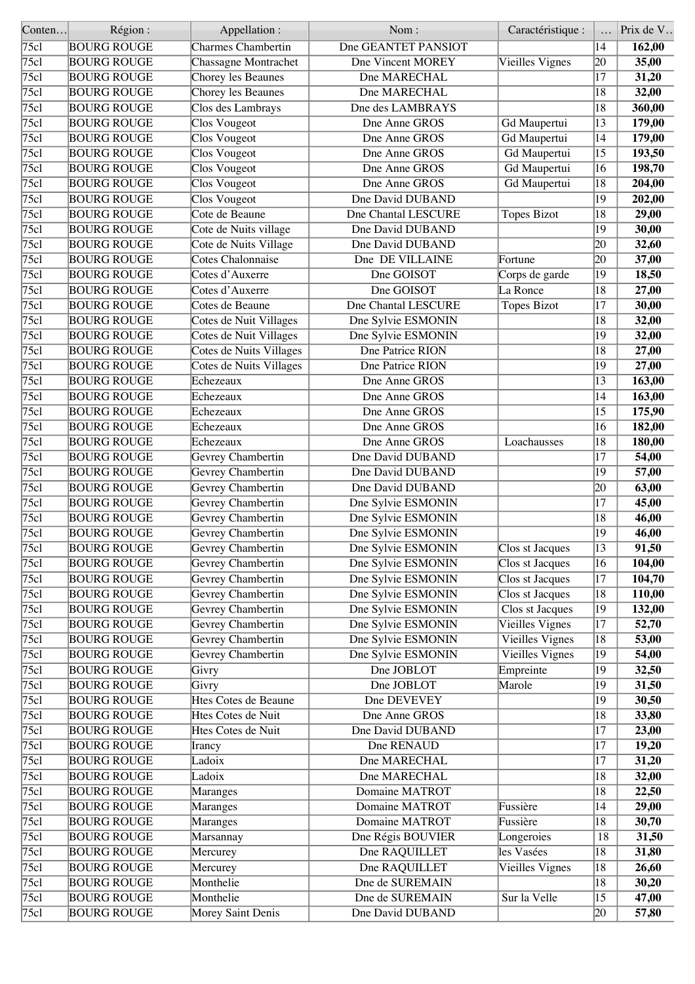| Conten        | Région:            | Appellation :             | Nom:                | Caractéristique :      |                 | Prix de V |
|---------------|--------------------|---------------------------|---------------------|------------------------|-----------------|-----------|
| 75c1          | <b>BOURG ROUGE</b> | <b>Charmes Chambertin</b> | Dne GEANTET PANSIOT |                        | 14              | 162,00    |
| 75c1          | <b>BOURG ROUGE</b> | Chassagne Montrachet      | Dne Vincent MOREY   | Vieilles Vignes        | 20              | 35,00     |
| 75c1          | <b>BOURG ROUGE</b> | Chorey les Beaunes        | Dne MARECHAL        |                        | $\overline{17}$ | 31,20     |
| 75c1          | <b>BOURG ROUGE</b> | Chorey les Beaunes        | Dne MARECHAL        |                        | 18              | 32,00     |
| 75c1          | <b>BOURG ROUGE</b> | Clos des Lambrays         | Dne des LAMBRAYS    |                        | 18              | 360,00    |
| 75c1          | <b>BOURG ROUGE</b> | Clos Vougeot              | Dne Anne GROS       | Gd Maupertui           | 13              | 179,00    |
| 75c1          | <b>BOURG ROUGE</b> | Clos Vougeot              | Dne Anne GROS       | Gd Maupertui           | 14              | 179,00    |
| 75c1          | <b>BOURG ROUGE</b> | Clos Vougeot              | Dne Anne GROS       | Gd Maupertui           | 15              | 193,50    |
| 75c1          | <b>BOURG ROUGE</b> | Clos Vougeot              | Dne Anne GROS       | Gd Maupertui           | 16              | 198,70    |
| 75c1          | <b>BOURG ROUGE</b> | Clos Vougeot              | Dne Anne GROS       | Gd Maupertui           | 18              | 204,00    |
| 75c1          | <b>BOURG ROUGE</b> | Clos Vougeot              | Dne David DUBAND    |                        | 19              | 202,00    |
| 75c1          | <b>BOURG ROUGE</b> | Cote de Beaune            | Dne Chantal LESCURE | <b>Topes Bizot</b>     | 18              | 29,00     |
| 75c1          | <b>BOURG ROUGE</b> | Cote de Nuits village     | Dne David DUBAND    |                        | 19              | 30,00     |
| 75cl          | <b>BOURG ROUGE</b> | Cote de Nuits Village     | Dne David DUBAND    |                        | 20              | 32,60     |
| 75c1          | <b>BOURG ROUGE</b> | Cotes Chalonnaise         | Dne DE VILLAINE     | Fortune                | 20              | 37,00     |
| 75c1          | <b>BOURG ROUGE</b> | Cotes d'Auxerre           | Dne GOISOT          | Corps de garde         | 19              | 18,50     |
| 75c1          | <b>BOURG ROUGE</b> | Cotes d'Auxerre           | Dne GOISOT          | La Ronce               | 18              | 27,00     |
| 75c1          | <b>BOURG ROUGE</b> | Cotes de Beaune           | Dne Chantal LESCURE | Topes Bizot            | 17              | 30,00     |
| 75c1          | <b>BOURG ROUGE</b> | Cotes de Nuit Villages    | Dne Sylvie ESMONIN  |                        | 18              | 32,00     |
| 75c1          | <b>BOURG ROUGE</b> | Cotes de Nuit Villages    | Dne Sylvie ESMONIN  |                        | 19              | 32,00     |
| 75cl          | <b>BOURG ROUGE</b> | Cotes de Nuits Villages   | Dne Patrice RION    |                        | 18              | 27,00     |
| 75c1          | <b>BOURG ROUGE</b> | Cotes de Nuits Villages   | Dne Patrice RION    |                        | 19              | 27,00     |
| 75c1          | <b>BOURG ROUGE</b> | Echezeaux                 | Dne Anne GROS       |                        | 13              | 163,00    |
| 75c1          | <b>BOURG ROUGE</b> | Echezeaux                 | Dne Anne GROS       |                        | 14              | 163,00    |
| 75c1          | <b>BOURG ROUGE</b> | Echezeaux                 | Dne Anne GROS       |                        | 15              | 175,90    |
|               |                    | Echezeaux                 |                     |                        |                 |           |
| 75cl          | <b>BOURG ROUGE</b> |                           | Dne Anne GROS       |                        | 16              | 182,00    |
| 75c1          | <b>BOURG ROUGE</b> | Echezeaux                 | Dne Anne GROS       | Loachausses            | 18              | 180,00    |
| 75c1          | <b>BOURG ROUGE</b> | Gevrey Chambertin         | Dne David DUBAND    |                        | 17              | 54,00     |
| 75cl          | <b>BOURG ROUGE</b> | Gevrey Chambertin         | Dne David DUBAND    |                        | 19              | 57,00     |
| 75c1          | <b>BOURG ROUGE</b> | Gevrey Chambertin         | Dne David DUBAND    |                        | 20              | 63,00     |
| 75c1          | <b>BOURG ROUGE</b> | Gevrey Chambertin         | Dne Sylvie ESMONIN  |                        | $\overline{17}$ | 45,00     |
| 75c1          | <b>BOURG ROUGE</b> | Gevrey Chambertin         | Dne Sylvie ESMONIN  |                        | 18              | 46,00     |
| $\sqrt{75c}$  | <b>BOURG ROUGE</b> | Gevrey Chambertin         | Dne Sylvie ESMONIN  |                        | 19              | 46,00     |
| $\sqrt{75c1}$ | <b>BOURG ROUGE</b> | Gevrey Chambertin         | Dne Sylvie ESMONIN  | Clos st Jacques        | $\overline{13}$ | 91,50     |
| 75cl          | <b>BOURG ROUGE</b> | Gevrey Chambertin         | Dne Sylvie ESMONIN  | Clos st Jacques        | 16              | 104,00    |
| 75c1          | <b>BOURG ROUGE</b> | Gevrey Chambertin         | Dne Sylvie ESMONIN  | Clos st Jacques        | 17              | 104,70    |
| 75c1          | <b>BOURG ROUGE</b> | Gevrey Chambertin         | Dne Sylvie ESMONIN  | Clos st Jacques        | 18              | 110,00    |
| 75cl          | <b>BOURG ROUGE</b> | Gevrey Chambertin         | Dne Sylvie ESMONIN  | Clos st Jacques        | 19              | 132,00    |
| 75c1          | <b>BOURG ROUGE</b> | Gevrey Chambertin         | Dne Sylvie ESMONIN  | Vieilles Vignes        | 17              | 52,70     |
| 75c1          | <b>BOURG ROUGE</b> | Gevrey Chambertin         | Dne Sylvie ESMONIN  | <b>Vieilles Vignes</b> | 18              | 53,00     |
| 75cl          | <b>BOURG ROUGE</b> | Gevrey Chambertin         | Dne Sylvie ESMONIN  | <b>Vieilles Vignes</b> | 19              | 54,00     |
| 75cl          | <b>BOURG ROUGE</b> | Givry                     | Dne JOBLOT          | Empreinte              | 19              | 32,50     |
| 75c1          | <b>BOURG ROUGE</b> | Givry                     | Dne JOBLOT          | Marole                 | 19              | 31,50     |
| 75cl          | <b>BOURG ROUGE</b> | Htes Cotes de Beaune      | Dne DEVEVEY         |                        | 19              | 30,50     |
| 75cl          | <b>BOURG ROUGE</b> | Htes Cotes de Nuit        | Dne Anne GROS       |                        | 18              | 33,80     |
| 75c1          | <b>BOURG ROUGE</b> | Htes Cotes de Nuit        | Dne David DUBAND    |                        | 17              | 23,00     |
| 75cl          | <b>BOURG ROUGE</b> | [Irancy                   | Dne RENAUD          |                        | 17              | 19,20     |
| 75c1          | <b>BOURG ROUGE</b> | Ladoix                    | Dne MARECHAL        |                        | 17              | 31,20     |
| 75cl          | <b>BOURG ROUGE</b> | Ladoix                    | Dne MARECHAL        |                        | 18              | 32,00     |
| 75cl          | <b>BOURG ROUGE</b> | Maranges                  | Domaine MATROT      |                        | 18              | 22,50     |
| 75cl          | <b>BOURG ROUGE</b> | Maranges                  | Domaine MATROT      | Fussière               | 14              | 29,00     |
| 75cl          | <b>BOURG ROUGE</b> | Maranges                  | Domaine MATROT      | Fussière               | 18              | 30,70     |
| 75cl          | <b>BOURG ROUGE</b> | Marsannay                 | Dne Régis BOUVIER   | Longeroies             | 18              | 31,50     |
| 75cl          | <b>BOURG ROUGE</b> | Mercurey                  | Dne RAQUILLET       | les Vasées             | 18              | 31,80     |
| 75cl          | <b>BOURG ROUGE</b> | Mercurey                  | Dne RAQUILLET       | Vieilles Vignes        | 18              | 26,60     |
| 75cl          | <b>BOURG ROUGE</b> | Monthelie                 | Dne de SUREMAIN     |                        | 18              | 30,20     |
| 75cl          | <b>BOURG ROUGE</b> | Monthelie                 | Dne de SUREMAIN     | Sur la Velle           | $ 15\rangle$    | 47,00     |
| 75c1          | <b>BOURG ROUGE</b> | Morey Saint Denis         | Dne David DUBAND    |                        | 20              | 57,80     |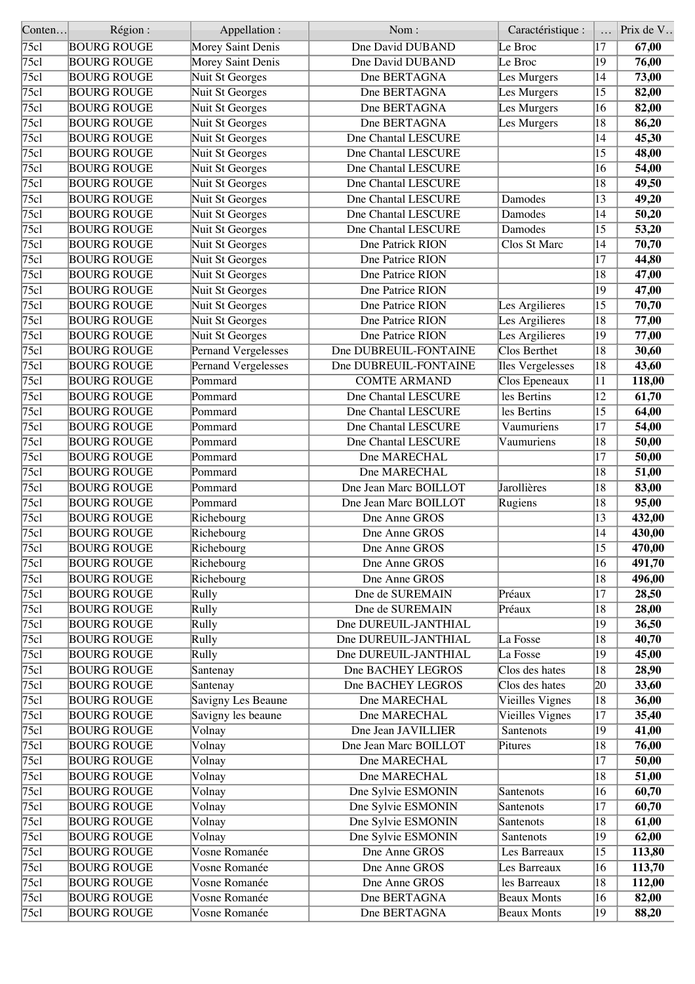| Conten | Région:            | Appellation:                  | Nom:                       | Caractéristique :       |                 | Prix de V |
|--------|--------------------|-------------------------------|----------------------------|-------------------------|-----------------|-----------|
| 75c1   | <b>BOURG ROUGE</b> | Morey Saint Denis             | Dne David DUBAND           | Le Broc                 | 17              | 67,00     |
| 75c1   | <b>BOURG ROUGE</b> | Morey Saint Denis             | Dne David DUBAND           | Le Broc                 | 19              | 76,00     |
| 75c1   | <b>BOURG ROUGE</b> | Nuit St Georges               | Dne BERTAGNA               | Les Murgers             | 14              | 73,00     |
| 75c1   | <b>BOURG ROUGE</b> | Nuit St Georges               | Dne BERTAGNA               | Les Murgers             | 15              | 82,00     |
| 75c1   | <b>BOURG ROUGE</b> | Nuit St Georges               | Dne BERTAGNA               | Les Murgers             | 16              | 82,00     |
| 75c1   | <b>BOURG ROUGE</b> | Nuit St Georges               | Dne BERTAGNA               | Les Murgers             | 18              | 86,20     |
| 75c1   | <b>BOURG ROUGE</b> | Nuit St Georges               | Dne Chantal LESCURE        |                         | 14              | 45,30     |
| 75c1   | <b>BOURG ROUGE</b> | Nuit St Georges               | Dne Chantal LESCURE        |                         | 15              | 48,00     |
| 75c1   | <b>BOURG ROUGE</b> | Nuit St Georges               | Dne Chantal LESCURE        |                         | 16              | 54,00     |
| 75c1   | <b>BOURG ROUGE</b> | Nuit St Georges               | <b>Dne Chantal LESCURE</b> |                         | 18              | 49,50     |
| 75c1   |                    |                               | Dne Chantal LESCURE        | Damodes                 | 13              |           |
| 75c1   | <b>BOURG ROUGE</b> | Nuit St Georges               | <b>Dne Chantal LESCURE</b> |                         |                 | 49,20     |
|        | <b>BOURG ROUGE</b> | Nuit St Georges               |                            | Damodes                 | 14              | 50,20     |
| 75c1   | <b>BOURG ROUGE</b> | Nuit St Georges               | Dne Chantal LESCURE        | Damodes                 | 15              | 53,20     |
| 75c1   | <b>BOURG ROUGE</b> | Nuit St Georges               | Dne Patrick RION           | Clos St Marc            | 14              | 70,70     |
| 75c1   | <b>BOURG ROUGE</b> | Nuit St Georges               | Dne Patrice RION           |                         | 17              | 44,80     |
| 75c1   | <b>BOURG ROUGE</b> | Nuit St Georges               | Dne Patrice RION           |                         | 18              | 47,00     |
| 75c1   | <b>BOURG ROUGE</b> | Nuit St Georges               | Dne Patrice RION           |                         | 19              | 47,00     |
| 75c1   | <b>BOURG ROUGE</b> | Nuit St Georges               | Dne Patrice RION           | Les Argilieres          | 15              | 70,70     |
| 75c1   | <b>BOURG ROUGE</b> | Nuit St Georges               | Dne Patrice RION           | Les Argilieres          | 18              | 77,00     |
| 75c1   | <b>BOURG ROUGE</b> | Nuit St Georges               | Dne Patrice RION           | Les Argilieres          | 19              | 77,00     |
| 75c1   | <b>BOURG ROUGE</b> | Pernand Vergelesses           | Dne DUBREUIL-FONTAINE      | Clos Berthet            | 18              | 30,60     |
| 75c1   | <b>BOURG ROUGE</b> | Pernand Vergelesses           | Dne DUBREUIL-FONTAINE      | <b>Iles Vergelesses</b> | $ 18\rangle$    | 43,60     |
| 75c1   | <b>BOURG ROUGE</b> | Pommard                       | <b>COMTE ARMAND</b>        | Clos Epeneaux           | 11              | 118,00    |
| 75c1   | <b>BOURG ROUGE</b> | Pommard                       | Dne Chantal LESCURE        | les Bertins             | 12              | 61,70     |
| 75c1   | <b>BOURG ROUGE</b> | Pommard                       | <b>Dne Chantal LESCURE</b> | les Bertins             | 15              | 64,00     |
| 75c1   | <b>BOURG ROUGE</b> | Pommard                       | Dne Chantal LESCURE        | Vaumuriens              | 17              | 54,00     |
| 75c1   | <b>BOURG ROUGE</b> | Pommard                       | Dne Chantal LESCURE        | Vaumuriens              | 18              | 50,00     |
| 75c1   | <b>BOURG ROUGE</b> | Pommard                       | Dne MARECHAL               |                         | 17              | 50,00     |
| 75c1   |                    | Pommard                       | Dne MARECHAL               |                         | 18              |           |
|        | <b>BOURG ROUGE</b> |                               |                            |                         |                 | 51,00     |
| 75c1   | <b>BOURG ROUGE</b> | Pommard                       | Dne Jean Marc BOILLOT      | Jarollières             | 18              | 83,00     |
| 75c1   | <b>BOURG ROUGE</b> | Pommard                       | Dne Jean Marc BOILLOT      | Rugiens                 | $\overline{18}$ | 95,00     |
| 75c1   | <b>BOURG ROUGE</b> | Richebourg                    | Dne Anne GROS              |                         | 13              | 432,00    |
| 75c1   | <b>BOURG ROUGE</b> | Richebourg                    | Dne Anne GROS              |                         | 14              | 430,00    |
| 75c1   | <b>BOURG ROUGE</b> | Richebourg                    | Dne Anne GROS              |                         | $\overline{15}$ | 470,00    |
| 75cl   | <b>BOURG ROUGE</b> | Richebourg                    | Dne Anne GROS              |                         | 16              | 491,70    |
| 75c1   | <b>BOURG ROUGE</b> | Richebourg                    | Dne Anne GROS              |                         | 18              | 496,00    |
| 75c1   | <b>BOURG ROUGE</b> | Rully                         | Dne de SUREMAIN            | Préaux                  | 17              | 28,50     |
| 75c1   | <b>BOURG ROUGE</b> | Rully                         | Dne de SUREMAIN            | Préaux                  | 18              | 28,00     |
| 75cl   | <b>BOURG ROUGE</b> | Rully                         | Dne DUREUIL-JANTHIAL       |                         | 19              | 36,50     |
| 75c1   | <b>BOURG ROUGE</b> | Rully                         | Dne DUREUIL-JANTHIAL       | La Fosse                | 18              | 40,70     |
| 75c1   | <b>BOURG ROUGE</b> | Rully                         | Dne DUREUIL-JANTHIAL       | La Fosse                | 19              | 45,00     |
| 75c1   | <b>BOURG ROUGE</b> | Santenay                      | Dne BACHEY LEGROS          | Clos des hates          | 18              | 28,90     |
| 75c1   | <b>BOURG ROUGE</b> | Santenay                      | Dne BACHEY LEGROS          | Clos des hates          | 20              | 33,60     |
| 75c1   | <b>BOURG ROUGE</b> | Savigny Les Beaune            | Dne MARECHAL               | Vieilles Vignes         | 18              | 36,00     |
| 75c1   | <b>BOURG ROUGE</b> | Savigny les beaune            | Dne MARECHAL               | Vieilles Vignes         | 17              | 35,40     |
| 75c1   | <b>BOURG ROUGE</b> | Volnay                        | Dne Jean JAVILLIER         | Santenots               | 19              | 41,00     |
| 75c1   | <b>BOURG ROUGE</b> | Volnay                        | Dne Jean Marc BOILLOT      | Pitures                 | 18              | 76,00     |
| 75c1   | <b>BOURG ROUGE</b> | Volnay                        | Dne MARECHAL               |                         | 17              | 50,00     |
| 75c1   | <b>BOURG ROUGE</b> | Volnay                        | Dne MARECHAL               |                         | 18              | 51,00     |
| 75c1   | <b>BOURG ROUGE</b> | Volnay                        | Dne Sylvie ESMONIN         | Santenots               | 16              | 60,70     |
|        |                    |                               |                            |                         |                 |           |
| 75c1   | <b>BOURG ROUGE</b> | Volnay                        | Dne Sylvie ESMONIN         | Santenots               | 17              | 60,70     |
| 75c1   | <b>BOURG ROUGE</b> | $\overline{\textrm{Vol}}$ nay | Dne Sylvie ESMONIN         | Santenots               | 18              | 61,00     |
| 75c1   | <b>BOURG ROUGE</b> | Volnay                        | Dne Sylvie ESMONIN         | Santenots               | 19              | 62,00     |
| 75c1   | <b>BOURG ROUGE</b> | Vosne Romanée                 | Dne Anne GROS              | Les Barreaux            | $ 15\rangle$    | 113,80    |
| 75c1   | <b>BOURG ROUGE</b> | Vosne Romanée                 | Dne Anne GROS              | Les Barreaux            | 16              | 113,70    |
| 75c1   | <b>BOURG ROUGE</b> | Vosne Romanée                 | Dne Anne GROS              | les Barreaux            | 18              | 112,00    |
| 75c1   | <b>BOURG ROUGE</b> | Vosne Romanée                 | Dne BERTAGNA               | <b>Beaux Monts</b>      | 16              | 82,00     |
| 75cl   | <b>BOURG ROUGE</b> | Vosne Romanée                 | Dne BERTAGNA               | <b>Beaux Monts</b>      | $ 19\rangle$    | 88,20     |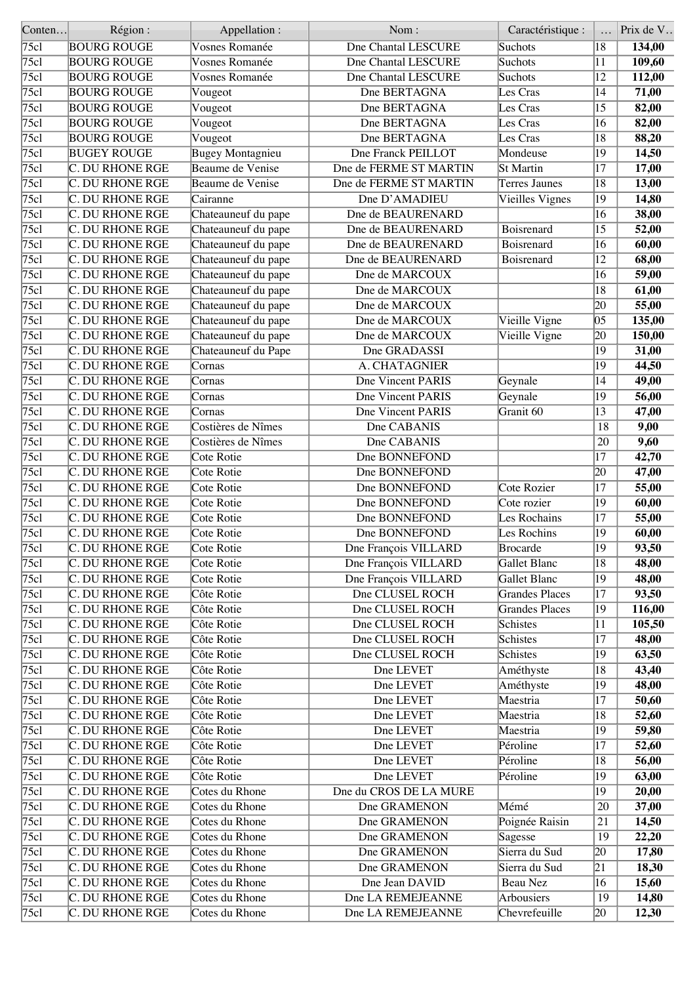| Conten       | Région:                | Appellation :           | Nom:                       | Caractéristique :     |                 | Prix de V |
|--------------|------------------------|-------------------------|----------------------------|-----------------------|-----------------|-----------|
| 75c1         | <b>BOURG ROUGE</b>     | Vosnes Romanée          | <b>Dne Chantal LESCURE</b> | Suchots               | 18              | 134,00    |
| 75c1         | <b>BOURG ROUGE</b>     | Vosnes Romanée          | Dne Chantal LESCURE        | Suchots               | 11              | 109,60    |
| 75c1         | <b>BOURG ROUGE</b>     | Vosnes Romanée          | <b>Dne Chantal LESCURE</b> | Suchots               | $\overline{12}$ | 112,00    |
| 75c1         | <b>BOURG ROUGE</b>     | Vougeot                 | Dne BERTAGNA               | Les Cras              | 14              | 71,00     |
| 75c1         | <b>BOURG ROUGE</b>     | Vougeot                 | Dne BERTAGNA               | Les Cras              | 15              | 82,00     |
| 75c1         | <b>BOURG ROUGE</b>     | Vougeot                 | Dne BERTAGNA               | Les Cras              | 16              | 82,00     |
| 75c1         | <b>BOURG ROUGE</b>     | Vougeot                 | Dne BERTAGNA               | Les Cras              | 18              | 88,20     |
| 75c1         | <b>BUGEY ROUGE</b>     | <b>Bugey Montagnieu</b> | Dne Franck PEILLOT         | Mondeuse              | 19              | 14,50     |
| 75c1         | <b>C. DU RHONE RGE</b> | Beaume de Venise        | Dne de FERME ST MARTIN     | <b>St Martin</b>      | $\overline{17}$ | 17,00     |
| 75c1         | C. DU RHONE RGE        | Beaume de Venise        | Dne de FERME ST MARTIN     | <b>Terres Jaunes</b>  | 18              | 13,00     |
| 75c1         | C. DU RHONE RGE        | Cairanne                | Dne D'AMADIEU              | Vieilles Vignes       | $ 19\rangle$    | 14,80     |
| 75c1         | C. DU RHONE RGE        | Chateauneuf du pape     | Dne de BEAURENARD          |                       | 16              | 38,00     |
| 75c1         | C. DU RHONE RGE        | Chateauneuf du pape     | Dne de BEAURENARD          | Boisrenard            | 15              | 52,00     |
| 75c1         | C. DU RHONE RGE        | Chateauneuf du pape     | Dne de BEAURENARD          | Boisrenard            | 16              | 60,00     |
| 75c1         | C. DU RHONE RGE        | Chateauneuf du pape     | Dne de BEAURENARD          | Boisrenard            | 12              | 68,00     |
| 75c1         | C. DU RHONE RGE        | Chateauneuf du pape     | Dne de MARCOUX             |                       | 16              | 59,00     |
| 75c1         | <b>C. DU RHONE RGE</b> | Chateauneuf du pape     | Dne de MARCOUX             |                       | 18              | 61,00     |
| 75c1         | C. DU RHONE RGE        | Chateauneuf du pape     | Dne de MARCOUX             |                       | 20              | 55,00     |
| 75c1         | <b>C. DU RHONE RGE</b> | Chateauneuf du pape     | Dne de MARCOUX             | Vieille Vigne         | $ 05\rangle$    | 135,00    |
| 75c1         | C. DU RHONE RGE        | Chateauneuf du pape     | Dne de MARCOUX             | Vieille Vigne         | 20              | 150,00    |
| $\sqrt{75c}$ | C. DU RHONE RGE        | Chateauneuf du Pape     | Dne GRADASSI               |                       | 19              | 31,00     |
| 75c1         | C. DU RHONE RGE        | Cornas                  | A. CHATAGNIER              |                       | 19              | 44,50     |
| 75c1         | <b>C. DU RHONE RGE</b> | Cornas                  | Dne Vincent PARIS          | Geynale               | 14              | 49,00     |
| 75c1         | C. DU RHONE RGE        | Cornas                  | Dne Vincent PARIS          | Geynale               | 19              | 56,00     |
| 75c1         | C. DU RHONE RGE        | Cornas                  | <b>Dne Vincent PARIS</b>   | Granit 60             | $\overline{13}$ | 47,00     |
| 75c1         | C. DU RHONE RGE        | Costières de Nîmes      | Dne CABANIS                |                       |                 |           |
|              |                        |                         |                            |                       | 18              | 9,00      |
| 75c1         | C. DU RHONE RGE        | Costières de Nîmes      | Dne CABANIS                |                       | 20              | 9,60      |
| 75c1         | C. DU RHONE RGE        | Cote Rotie              | Dne BONNEFOND              |                       | $\overline{17}$ | 42,70     |
| 75c1         | C. DU RHONE RGE        | Cote Rotie              | Dne BONNEFOND              |                       | 20              | 47,00     |
| 75c1         | C. DU RHONE RGE        | Cote Rotie              | Dne BONNEFOND              | Cote Rozier           | 17              | 55,00     |
| 75c1         | <b>C. DU RHONE RGE</b> | Cote Rotie              | Dne BONNEFOND              | Cote rozier           | 19              | 60,00     |
| 75c1         | C. DU RHONE RGE        | Cote Rotie              | Dne BONNEFOND              | Les Rochains          | 17              | 55,00     |
| 75c1         | C. DU RHONE RGE        | Cote Rotie              | Dne BONNEFOND              | Les Rochins           | 19              | 60,00     |
| 75c1         | <b>C. DU RHONE RGE</b> | Cote Rotie              | Dne François VILLARD       | Brocarde              | $ 19\rangle$    | 93,50     |
| 75c1         | C. DU RHONE RGE        | Cote Rotie              | Dne François VILLARD       | Gallet Blanc          | 18              | 48,00     |
| 75c1         | C. DU RHONE RGE        | Cote Rotie              | Dne François VILLARD       | Gallet Blanc          | 19              | 48,00     |
| 75c1         | <b>C. DU RHONE RGE</b> | Côte Rotie              | Dne CLUSEL ROCH            | <b>Grandes Places</b> | 17              | 93,50     |
| 75cl         | C. DU RHONE RGE        | Côte Rotie              | Dne CLUSEL ROCH            | <b>Grandes Places</b> | 19              | 116,00    |
| 75c1         | C. DU RHONE RGE        | Côte Rotie              | Dne CLUSEL ROCH            | <b>Schistes</b>       | 11              | 105,50    |
| 75c1         | C. DU RHONE RGE        | Côte Rotie              | Dne CLUSEL ROCH            | <b>Schistes</b>       | $ 17\rangle$    | 48,00     |
| 75cl         | C. DU RHONE RGE        | Côte Rotie              | Dne CLUSEL ROCH            | Schistes              | 19              | 63,50     |
| 75cl         | C. DU RHONE RGE        | Côte Rotie              | Dne LEVET                  | Améthyste             | 18              | 43,40     |
| 75c1         | <b>C. DU RHONE RGE</b> | Côte Rotie              | Dne LEVET                  | Améthyste             | $ 19\rangle$    | 48,00     |
| 75cl         | C. DU RHONE RGE        | Côte Rotie              | Dne LEVET                  | Maestria              | 17              | 50,60     |
| 75c1         | C. DU RHONE RGE        | Côte Rotie              | Dne LEVET                  | Maestria              | 18              | 52,60     |
| 75c1         | C. DU RHONE RGE        | Côte Rotie              | Dne LEVET                  | Maestria              | 19              | 59,80     |
| 75cl         | C. DU RHONE RGE        | Côte Rotie              | Dne LEVET                  | Péroline              | 17              | 52,60     |
| 75c1         | C. DU RHONE RGE        | Côte Rotie              | Dne LEVET                  | Péroline              | 18              | 56,00     |
| 75cl         | C. DU RHONE RGE        | Côte Rotie              | Dne LEVET                  | Péroline              | 19              | 63,00     |
| 75cl         | C. DU RHONE RGE        | Cotes du Rhone          | Dne du CROS DE LA MURE     |                       | 19              | 20,00     |
| 75cl         | C. DU RHONE RGE        | Cotes du Rhone          | Dne GRAMENON               | Mémé                  | 20              | 37,00     |
| 75cl         | C. DU RHONE RGE        | Cotes du Rhone          | Dne GRAMENON               | Poignée Raisin        | 21              | 14,50     |
| 75cl         | <b>C. DU RHONE RGE</b> | Cotes du Rhone          | Dne GRAMENON               | Sagesse               | 19              | 22,20     |
| 75cl         | <b>C. DU RHONE RGE</b> | Cotes du Rhone          | Dne GRAMENON               | Sierra du Sud         | 20              | 17,80     |
| 75cl         | C. DU RHONE RGE        | Cotes du Rhone          | Dne GRAMENON               | Sierra du Sud         | 21              | 18,30     |
| 75cl         | C. DU RHONE RGE        | Cotes du Rhone          | Dne Jean DAVID             | Beau Nez              | 16              | 15,60     |
| 75cl         | C. DU RHONE RGE        | Cotes du Rhone          | Dne LA REMEJEANNE          | Arbousiers            | 19              | 14,80     |
| 75c1         | C. DU RHONE RGE        | Cotes du Rhone          | Dne LA REMEJEANNE          | Chevrefeuille         | 20              | 12,30     |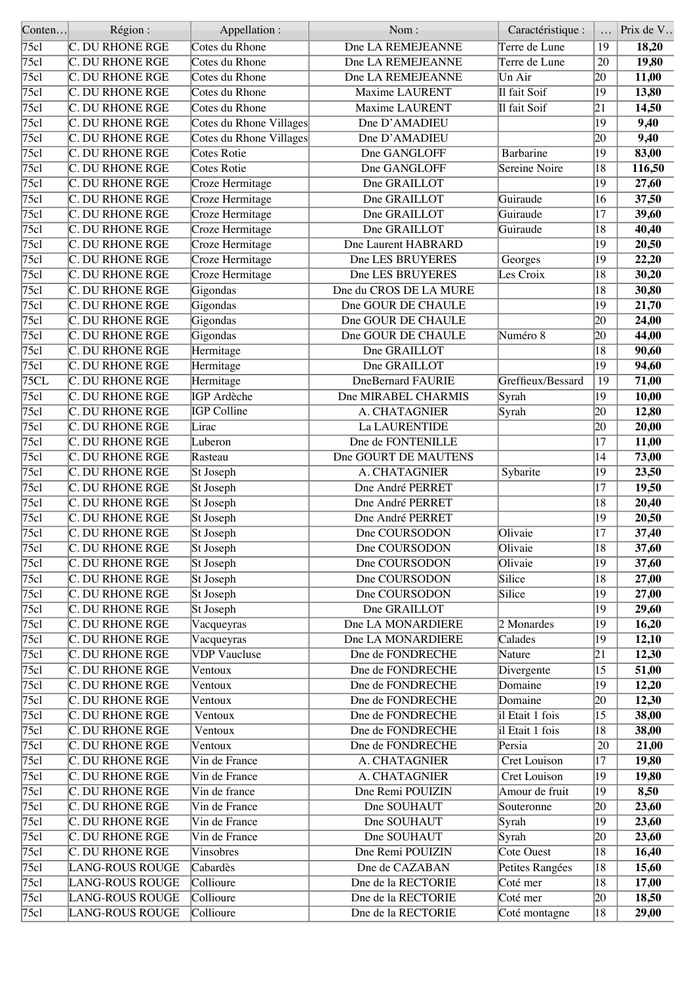| Conten       | Région:                | Appellation:            | Nom:                     | Caractéristique :    |                 | Prix de V |
|--------------|------------------------|-------------------------|--------------------------|----------------------|-----------------|-----------|
| 75cl         | C. DU RHONE RGE        | Cotes du Rhone          | Dne LA REMEJEANNE        | Terre de Lune        | 19              | 18,20     |
| 75c1         | C. DU RHONE RGE        | Cotes du Rhone          | Dne LA REMEJEANNE        | Terre de Lune        | 20              | 19,80     |
| 75c1         | C. DU RHONE RGE        | Cotes du Rhone          | Dne LA REMEJEANNE        | Un Air               | $ 20\rangle$    | 11,00     |
| 75c1         | <b>C. DU RHONE RGE</b> | Cotes du Rhone          | Maxime LAURENT           | Il fait Soif         | $ 19\rangle$    | 13,80     |
| 75c1         | <b>C. DU RHONE RGE</b> | Cotes du Rhone          | Maxime LAURENT           | Il fait Soif         | 21              | 14,50     |
| 75c1         | <b>C. DU RHONE RGE</b> | Cotes du Rhone Villages | Dne D'AMADIEU            |                      | $\overline{19}$ | 9,40      |
| 75c1         | C. DU RHONE RGE        | Cotes du Rhone Villages | Dne D'AMADIEU            |                      | 20              | 9,40      |
| 75c1         | C. DU RHONE RGE        | Cotes Rotie             | Dne GANGLOFF             | Barbarine            | 19              | 83,00     |
| 75c1         | <b>C. DU RHONE RGE</b> | Cotes Rotie             | Dne GANGLOFF             | <b>Sereine Noire</b> | $\overline{18}$ | 116,50    |
| $\sqrt{75c}$ | <b>C. DU RHONE RGE</b> | Croze Hermitage         | Dne GRAILLOT             |                      | 19              | 27,60     |
| 75c1         | <b>C. DU RHONE RGE</b> | Croze Hermitage         | Dne GRAILLOT             | Guiraude             | 16              | 37,50     |
| 75c1         | C. DU RHONE RGE        | Croze Hermitage         | Dne GRAILLOT             | Guiraude             | $\overline{17}$ | 39,60     |
| 75c1         | C. DU RHONE RGE        | Croze Hermitage         | Dne GRAILLOT             | Guiraude             | 18              | 40,40     |
| 75cl         | C. DU RHONE RGE        | Croze Hermitage         | Dne Laurent HABRARD      |                      | 19              | 20,50     |
| 75c1         | C. DU RHONE RGE        | Croze Hermitage         | Dne LES BRUYERES         | Georges              | 19              | 22,20     |
| 75c1         | <b>C. DU RHONE RGE</b> | Croze Hermitage         | Dne LES BRUYERES         | Les Croix            | 18              | 30,20     |
| 75c1         | <b>C. DU RHONE RGE</b> | Gigondas                | Dne du CROS DE LA MURE   |                      | 18              | 30,80     |
| 75c1         | C. DU RHONE RGE        | Gigondas                | Dne GOUR DE CHAULE       |                      | 19              | 21,70     |
| 75c1         | C. DU RHONE RGE        |                         | Dne GOUR DE CHAULE       |                      | 20              | 24,00     |
|              |                        | Gigondas                |                          |                      |                 |           |
| 75c1         | C. DU RHONE RGE        | Gigondas                | Dne GOUR DE CHAULE       | Numéro 8             | 20              | 44,00     |
| 75c1         | C. DU RHONE RGE        | Hermitage               | Dne GRAILLOT             |                      | 18              | 90,60     |
| 75c1         | <b>C. DU RHONE RGE</b> | Hermitage               | Dne GRAILLOT             |                      | $ 19\rangle$    | 94,60     |
| 75CL         | C. DU RHONE RGE        | Hermitage               | <b>DneBernard FAURIE</b> | Greffieux/Bessard    | 19              | 71,00     |
| 75c1         | C. DU RHONE RGE        | IGP Ardèche             | Dne MIRABEL CHARMIS      | Syrah                | 19              | 10,00     |
| 75c1         | C. DU RHONE RGE        | <b>IGP</b> Colline      | A. CHATAGNIER            | Syrah                | 20              | 12,80     |
| 75c1         | C. DU RHONE RGE        | Lirac                   | La LAURENTIDE            |                      | 20              | 20,00     |
| 75c1         | C. DU RHONE RGE        | Luberon                 | Dne de FONTENILLE        |                      | 17              | 11,00     |
| 75c1         | C. DU RHONE RGE        | Rasteau                 | Dne GOURT DE MAUTENS     |                      | 14              | 73,00     |
| 75c1         | <b>C. DU RHONE RGE</b> | St Joseph               | A. CHATAGNIER            | Sybarite             | 19              | 23,50     |
| 75c1         | <b>C. DU RHONE RGE</b> | St Joseph               | Dne André PERRET         |                      | 17              | 19,50     |
| 75c1         | C. DU RHONE RGE        | St Joseph               | Dne André PERRET         |                      | $\overline{18}$ | 20,40     |
| 75c1         | <b>C. DU RHONE RGE</b> | St Joseph               | Dne André PERRET         |                      | 19              | 20,50     |
| 75c1         | <b>C. DU RHONE RGE</b> | St Joseph               | Dne COURSODON            | Olivaie              | 17              | 37,40     |
| 75c1         | <b>C. DU RHONE RGE</b> | St Joseph               | Dne COURSODON            | Olivaie              | $\overline{18}$ | 37,60     |
| 75cl         | <b>C. DU RHONE RGE</b> | St Joseph               | Dne COURSODON            | Olivaie              | 19              | 37,60     |
| 75c1         | C. DU RHONE RGE        | St Joseph               | Dne COURSODON            | Silice               | 18              | 27,00     |
| 75c1         | <b>C. DU RHONE RGE</b> | St Joseph               | Dne COURSODON            | Silice               | 19              | 27,00     |
| 75c1         | C. DU RHONE RGE        | St Joseph               | Dne GRAILLOT             |                      | 19              | 29,60     |
| 75c1         | C. DU RHONE RGE        | Vacqueyras              | Dne LA MONARDIERE        | 2 Monardes           | 19              | 16,20     |
| 75c1         | <b>C. DU RHONE RGE</b> | Vacqueyras              | Dne LA MONARDIERE        | Calades              | 19              | 12,10     |
| 75c1         | <b>C. DU RHONE RGE</b> | <b>VDP</b> Vaucluse     | Dne de FONDRECHE         | Nature               | 21              | 12,30     |
| 75c1         | C. DU RHONE RGE        | Ventoux                 | Dne de FONDRECHE         | Divergente           | 15              | 51,00     |
| 75c1         | <b>C. DU RHONE RGE</b> | Ventoux                 | Dne de FONDRECHE         | Domaine              | $ 19\rangle$    | 12,20     |
| 75c1         | C. DU RHONE RGE        | Ventoux                 | Dne de FONDRECHE         | Domaine              | 20              | 12,30     |
| 75c1         | C. DU RHONE RGE        | Ventoux                 | Dne de FONDRECHE         | il Etait 1 fois      | 15              | 38,00     |
| 75c1         | <b>C. DU RHONE RGE</b> | Ventoux                 | Dne de FONDRECHE         | il Etait 1 fois      | 18              | 38,00     |
| 75c1         | C. DU RHONE RGE        | Ventoux                 | Dne de FONDRECHE         | Persia               | 20              | 21,00     |
| 75c1         | C. DU RHONE RGE        | Vin de France           | A. CHATAGNIER            | Cret Louison         | 17              | 19,80     |
| 75c1         | C. DU RHONE RGE        | Vin de France           | A. CHATAGNIER            | Cret Louison         | 19              | 19,80     |
| 75c1         | C. DU RHONE RGE        | Vin de france           | Dne Remi POUIZIN         | Amour de fruit       | 19              | 8,50      |
| 75c1         | C. DU RHONE RGE        | Vin de France           | Dne SOUHAUT              | Souteronne           | 20              | 23,60     |
| 75c1         | C. DU RHONE RGE        | Vin de France           | Dne SOUHAUT              | Syrah                | 19              | 23,60     |
|              | <b>C. DU RHONE RGE</b> | Vin de France           | Dne SOUHAUT              |                      |                 |           |
| $\sqrt{75c}$ |                        |                         |                          | Syrah                | 20              | 23,60     |
| 75c1         | C. DU RHONE RGE        | Vinsobres               | Dne Remi POUIZIN         | <b>Cote Ouest</b>    | 18              | 16,40     |
| 75c1         | LANG-ROUS ROUGE        | Cabardès                | Dne de CAZABAN           | Petites Rangées      | 18              | 15,60     |
| 75cl         | <b>LANG-ROUS ROUGE</b> | Collioure               | Dne de la RECTORIE       | Coté mer             | 18              | 17,00     |
| 75c1         | <b>LANG-ROUS ROUGE</b> | Collioure               | Dne de la RECTORIE       | Coté mer             | 20              | 18,50     |
| 75cl         | LANG-ROUS ROUGE        | Collioure               | Dne de la RECTORIE       | Coté montagne        | 18              | 29,00     |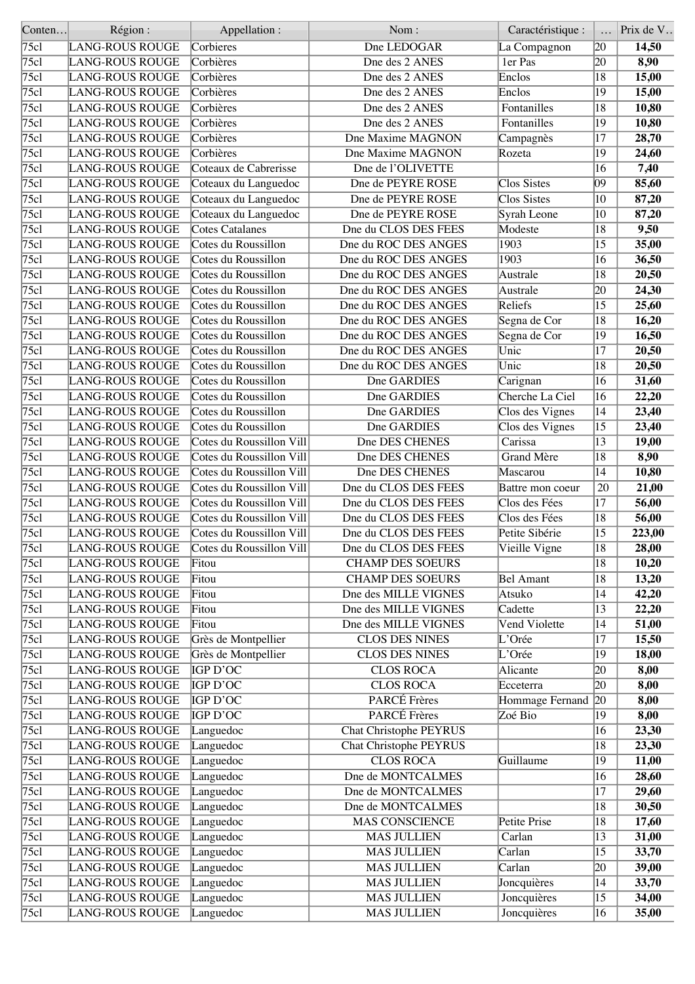| Conten | Région:                | Appellation :            | Nom:                          | Caractéristique :          |                 | Prix de V |
|--------|------------------------|--------------------------|-------------------------------|----------------------------|-----------------|-----------|
| 75c1   | LANG-ROUS ROUGE        | Corbieres                | Dne LEDOGAR                   | La Compagnon               | 20              | 14,50     |
| 75c1   | <b>LANG-ROUS ROUGE</b> | Corbières                | Dne des 2 ANES                | 1er Pas                    | 20              | 8,90      |
| 75c1   | LANG-ROUS ROUGE        | Corbières                | Dne des 2 ANES                | Enclos                     | $\overline{18}$ | 15,00     |
| 75c1   | <b>LANG-ROUS ROUGE</b> | Corbières                | Dne des 2 ANES                | Enclos                     | 19              | 15,00     |
| 75c1   | LANG-ROUS ROUGE        | Corbières                | Dne des 2 ANES                | Fontanilles                | 18              | 10,80     |
| 75c1   | LANG-ROUS ROUGE        | Corbières                | Dne des 2 ANES                | Fontanilles                | $\overline{19}$ | 10,80     |
| 75c1   | <b>LANG-ROUS ROUGE</b> | Corbières                | Dne Maxime MAGNON             | Campagnès                  | 17              | 28,70     |
| 75c1   | LANG-ROUS ROUGE        | Corbières                | Dne Maxime MAGNON             | Rozeta                     | 19              | 24,60     |
| 75c1   | LANG-ROUS ROUGE        | Coteaux de Cabrerisse    | Dne de l'OLIVETTE             |                            | 16              | 7,40      |
| 75c1   | <b>LANG-ROUS ROUGE</b> | Coteaux du Languedoc     | Dne de PEYRE ROSE             | <b>Clos Sistes</b>         | $ 09\rangle$    | 85,60     |
| 75c1   | <b>LANG-ROUS ROUGE</b> |                          | Dne de PEYRE ROSE             | Clos Sistes                | $ 10\rangle$    | 87,20     |
| 75c1   | LANG-ROUS ROUGE        | Coteaux du Languedoc     | Dne de PEYRE ROSE             |                            | 10              |           |
| 75c1   |                        | Coteaux du Languedoc     |                               | Syrah Leone                | 18              | 87,20     |
|        | <b>LANG-ROUS ROUGE</b> | Cotes Catalanes          | Dne du CLOS DES FEES          | Modeste                    |                 | 9,50      |
| 75c1   | LANG-ROUS ROUGE        | Cotes du Roussillon      | Dne du ROC DES ANGES          | 1903                       | 15              | 35,00     |
| 75c1   | <b>LANG-ROUS ROUGE</b> | Cotes du Roussillon      | Dne du ROC DES ANGES          | 1903                       | 16              | 36,50     |
| 75c1   | LANG-ROUS ROUGE        | Cotes du Roussillon      | Dne du ROC DES ANGES          | Australe                   | 18              | 20,50     |
| 75c1   | <b>LANG-ROUS ROUGE</b> | Cotes du Roussillon      | Dne du ROC DES ANGES          | Australe                   | 20              | 24,30     |
| 75c1   | LANG-ROUS ROUGE        | Cotes du Roussillon      | Dne du ROC DES ANGES          | Reliefs                    | 15              | 25,60     |
| 75c1   | <b>LANG-ROUS ROUGE</b> | Cotes du Roussillon      | Dne du ROC DES ANGES          | Segna de Cor               | 18              | 16,20     |
| 75c1   | LANG-ROUS ROUGE        | Cotes du Roussillon      | Dne du ROC DES ANGES          | Segna de Cor               | 19              | 16,50     |
| 75c1   | LANG-ROUS ROUGE        | Cotes du Roussillon      | Dne du ROC DES ANGES          | Unic                       | 17              | 20,50     |
| 75c1   | LANG-ROUS ROUGE        | Cotes du Roussillon      | Dne du ROC DES ANGES          | Unic                       | $ 18\rangle$    | 20,50     |
| 75c1   | <b>LANG-ROUS ROUGE</b> | Cotes du Roussillon      | Dne GARDIES                   | Carignan                   | 16              | 31,60     |
| 75c1   | LANG-ROUS ROUGE        | Cotes du Roussillon      | Dne GARDIES                   | Cherche La Ciel            | 16              | 22,20     |
| 75c1   | <b>LANG-ROUS ROUGE</b> | Cotes du Roussillon      | Dne GARDIES                   | Clos des Vignes            | 14              | 23,40     |
| 75c1   | LANG-ROUS ROUGE        | Cotes du Roussillon      | Dne GARDIES                   | Clos des Vignes            | $ 15\rangle$    | 23,40     |
| 75c1   | LANG-ROUS ROUGE        | Cotes du Roussillon Vill | Dne DES CHENES                | Carissa                    | 13              | 19,00     |
| 75c1   | LANG-ROUS ROUGE        | Cotes du Roussillon Vill | Dne DES CHENES                | <b>Grand Mère</b>          | $\overline{18}$ | 8,90      |
| 75c1   | <b>LANG-ROUS ROUGE</b> | Cotes du Roussillon Vill | Dne DES CHENES                | Mascarou                   | 14              | 10,80     |
| 75c1   | <b>LANG-ROUS ROUGE</b> | Cotes du Roussillon Vill | Dne du CLOS DES FEES          | Battre mon coeur           | 20              | 21,00     |
| 75c1   | <b>LANG-ROUS ROUGE</b> | Cotes du Roussillon Vill | Dne du CLOS DES FEES          | Clos des Fées              | $\overline{17}$ | 56,00     |
| 75c1   | <b>LANG-ROUS ROUGE</b> | Cotes du Roussillon Vill | Dne du CLOS DES FEES          | Clos des Fées              | 18              | 56,00     |
| 75c1   | <b>LANG-ROUS ROUGE</b> | Cotes du Roussillon Vill | Dne du CLOS DES FEES          | Petite Sibérie             | 15              | 223,00    |
| 75c1   | <b>LANG-ROUS ROUGE</b> | Cotes du Roussillon Vill | Dne du CLOS DES FEES          |                            | $\overline{18}$ | 28,00     |
|        |                        |                          |                               | Vieille Vigne              |                 |           |
| 75c1   | LANG-ROUS ROUGE        | Fitou                    | <b>CHAMP DES SOEURS</b>       |                            | 18              | 10,20     |
| 75c1   | <b>LANG-ROUS ROUGE</b> | Fitou                    | <b>CHAMP DES SOEURS</b>       | <b>Bel Amant</b>           | 18              | 13,20     |
| 75c1   | <b>LANG-ROUS ROUGE</b> | Fitou                    | Dne des MILLE VIGNES          | Atsuko                     | 14              | 42,20     |
| 75c1   | LANG-ROUS ROUGE        | Fitou                    | Dne des MILLE VIGNES          | Cadette                    | 13              | 22,20     |
| 75c1   | <b>LANG-ROUS ROUGE</b> | Fitou                    | Dne des MILLE VIGNES          | Vend Violette              | 14              | 51,00     |
| 75c1   | LANG-ROUS ROUGE        | Grès de Montpellier      | <b>CLOS DES NINES</b>         | L'Orée                     | 17              | 15,50     |
| 75c1   | LANG-ROUS ROUGE        | Grès de Montpellier      | <b>CLOS DES NINES</b>         | L'Orée                     | 19              | 18,00     |
| 75c1   | <b>LANG-ROUS ROUGE</b> | IGP D'OC                 | <b>CLOS ROCA</b>              | Alicante                   | 20              | 8,00      |
| 75c1   | <b>LANG-ROUS ROUGE</b> | <b>IGP D'OC</b>          | <b>CLOS ROCA</b>              | Ecceterra                  | 20              | 8,00      |
| 75c1   | <b>LANG-ROUS ROUGE</b> | IGP D'OC                 | PARCÉ Frères                  | Hommage Fernand            | 20              | 8,00      |
| 75c1   | <b>LANG-ROUS ROUGE</b> | IGP D'OC                 | PARCÉ Frères                  | Zoé Bio                    | 19              | 8,00      |
| 75c1   | LANG-ROUS ROUGE        | Languedoc                | <b>Chat Christophe PEYRUS</b> |                            | 16              | 23,30     |
| 75c1   | LANG-ROUS ROUGE        | Languedoc                | <b>Chat Christophe PEYRUS</b> |                            | 18              | 23,30     |
| 75c1   | LANG-ROUS ROUGE        | Languedoc                | <b>CLOS ROCA</b>              | Guillaume                  | 19              | 11,00     |
| 75c1   | <b>LANG-ROUS ROUGE</b> | Languedoc                | Dne de MONTCALMES             |                            | 16              | 28,60     |
| 75c1   | LANG-ROUS ROUGE        | Languedoc                | Dne de MONTCALMES             |                            | 17              | 29,60     |
| 75c1   | LANG-ROUS ROUGE        | Languedoc                | Dne de MONTCALMES             |                            | 18              | 30,50     |
| 75c1   | <b>LANG-ROUS ROUGE</b> | Languedoc                | <b>MAS CONSCIENCE</b>         | Petite Prise               | 18              | 17,60     |
| 75c1   | LANG-ROUS ROUGE        | Languedoc                | <b>MAS JULLIEN</b>            | Carlan                     | $ 13\rangle$    | 31,00     |
| 75c1   | LANG-ROUS ROUGE        | Languedoc                | <b>MAS JULLIEN</b>            | $\overline{\text{Carlan}}$ | 15              | 33,70     |
| 75c1   | LANG-ROUS ROUGE        | Languedoc                | <b>MAS JULLIEN</b>            | Carlan                     | 20              | 39,00     |
| 75c1   | LANG-ROUS ROUGE        | Languedoc                | <b>MAS JULLIEN</b>            | Joncquières                | 14              | 33,70     |
| 75c1   | LANG-ROUS ROUGE        | Languedoc                | <b>MAS JULLIEN</b>            | Joncquières                | $ 15\rangle$    | 34,00     |
| 75c1   | LANG-ROUS ROUGE        | Languedoc                | <b>MAS JULLIEN</b>            | Joncquières                | 16              | 35,00     |
|        |                        |                          |                               |                            |                 |           |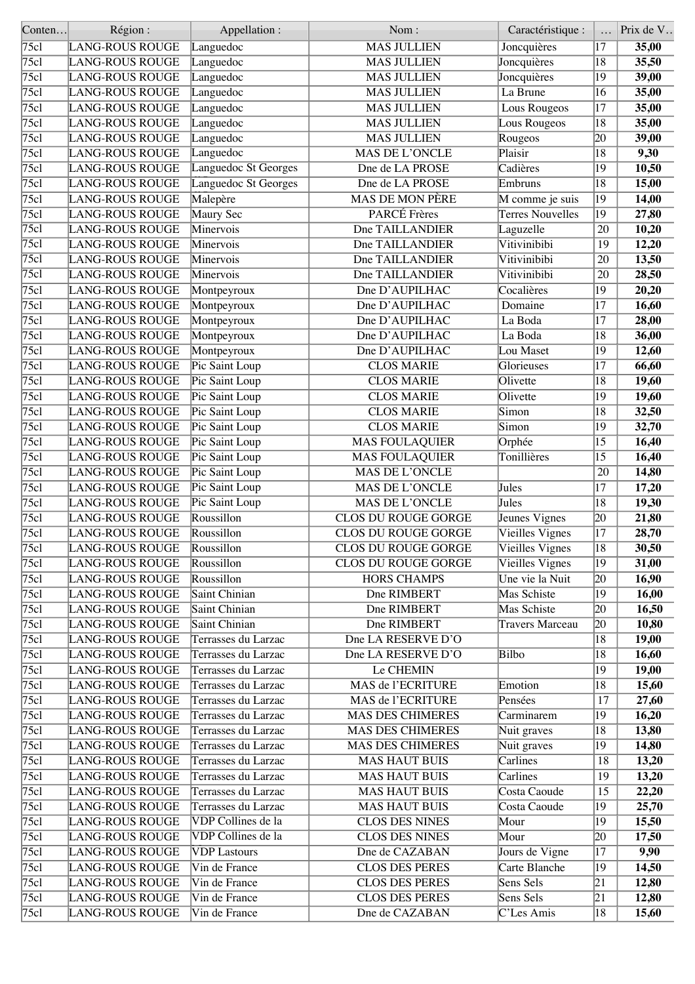| Conten             | Région:                | Appellation :             | Nom:                    | Caractéristique :       |                 | Prix de V |
|--------------------|------------------------|---------------------------|-------------------------|-------------------------|-----------------|-----------|
| 75c1               | LANG-ROUS ROUGE        | Languedoc                 | <b>MAS JULLIEN</b>      | Joncquières             | 17              | 35,00     |
| 75c1               | LANG-ROUS ROUGE        | Languedoc                 | <b>MAS JULLIEN</b>      | Joncquières             | 18              | 35,50     |
| 75c1               | LANG-ROUS ROUGE        | Languedoc                 | <b>MAS JULLIEN</b>      | Joncquières             | 19              | 39,00     |
| 75c1               | <b>LANG-ROUS ROUGE</b> | Languedoc                 | <b>MAS JULLIEN</b>      | La Brune                | 16              | 35,00     |
| 75c1               | <b>LANG-ROUS ROUGE</b> | Languedoc                 | <b>MAS JULLIEN</b>      | Lous Rougeos            | 17              | 35,00     |
| 75c1               | LANG-ROUS ROUGE        | Languedoc                 | <b>MAS JULLIEN</b>      | Lous Rougeos            | 18              | 35,00     |
| 75c1               | LANG-ROUS ROUGE        | Languedoc                 | <b>MAS JULLIEN</b>      | Rougeos                 | 20              | 39,00     |
| 75c1               | LANG-ROUS ROUGE        | Languedoc                 | MAS DE L'ONCLE          | Plaisir                 | 18              | 9,30      |
| 75c1               | LANG-ROUS ROUGE        | Languedoc St Georges      | Dne de LA PROSE         | Cadières                | 19              | 10,50     |
| $\sqrt{75c}$       | <b>LANG-ROUS ROUGE</b> | Languedoc St Georges      | Dne de LA PROSE         | Embruns                 | 18              | 15,00     |
| 75c1               | <b>LANG-ROUS ROUGE</b> | Malepère                  | <b>MAS DE MON PÈRE</b>  | M comme je suis         | 19              | 14,00     |
| 75c1               | LANG-ROUS ROUGE        | Maury Sec                 | <b>PARCÉ</b> Frères     | <b>Terres Nouvelles</b> | $\overline{19}$ | 27,80     |
| 75c1               | LANG-ROUS ROUGE        | Minervois                 | Dne TAILLANDIER         | Laguzelle               | 20              | 10,20     |
| 75c1               | LANG-ROUS ROUGE        | Minervois                 | Dne TAILLANDIER         | Vitivinibibi            | 19              | 12,20     |
| 75c1               | LANG-ROUS ROUGE        | Minervois                 | Dne TAILLANDIER         | Vitivinibibi            | 20              | 13,50     |
| $\overline{75c1}$  | LANG-ROUS ROUGE        | Minervois                 | Dne TAILLANDIER         | Vitivinibibi            | 20              | 28,50     |
| 75c1               | <b>LANG-ROUS ROUGE</b> | Montpeyroux               | Dne D'AUPILHAC          | Cocalières              | 19              | 20,20     |
| 75c1               | LANG-ROUS ROUGE        | Montpeyroux               | Dne D'AUPILHAC          | Domaine                 | 17              | 16,60     |
| 75c1               | <b>LANG-ROUS ROUGE</b> | Montpeyroux               | Dne D'AUPILHAC          | La Boda                 | 17              | 28,00     |
| 75c1               | LANG-ROUS ROUGE        | Montpeyroux               | Dne D'AUPILHAC          | La Boda                 | 18              | 36,00     |
| $\overline{75c}$ l | <b>LANG-ROUS ROUGE</b> | Montpeyroux               | Dne D'AUPILHAC          | Lou Maset               | 19              | 12,60     |
| 75c1               | <b>LANG-ROUS ROUGE</b> | Pic Saint Loup            | <b>CLOS MARIE</b>       | Glorieuses              | $\overline{17}$ | 66,60     |
| 75c1               | <b>LANG-ROUS ROUGE</b> | Pic Saint Loup            | <b>CLOS MARIE</b>       | Olivette                | 18              | 19,60     |
| 75c1               | LANG-ROUS ROUGE        | Pic Saint Loup            | <b>CLOS MARIE</b>       | Olivette                | 19              | 19,60     |
| 75c1               | LANG-ROUS ROUGE        | Pic Saint Loup            | <b>CLOS MARIE</b>       | Simon                   | 18              | 32,50     |
| 75cl               |                        |                           | <b>CLOS MARIE</b>       | Simon                   | 19              | 32,70     |
|                    | LANG-ROUS ROUGE        | Pic Saint Loup            |                         |                         |                 |           |
| 75c1               | <b>LANG-ROUS ROUGE</b> | Pic Saint Loup            | <b>MAS FOULAQUIER</b>   | Orphée                  | 15              | 16,40     |
| 75c1               | <b>LANG-ROUS ROUGE</b> | Pic Saint Loup            | <b>MAS FOULAQUIER</b>   | Tonillières             | 15              | 16,40     |
| 75c1               | <b>LANG-ROUS ROUGE</b> | Pic Saint Loup            | MAS DE L'ONCLE          |                         | 20              | 14,80     |
| 75c1               | <b>LANG-ROUS ROUGE</b> | Pic Saint Loup            | MAS DE L'ONCLE          | Jules                   | 17              | 17,20     |
| 75c1               | <b>LANG-ROUS ROUGE</b> | Pic Saint Loup            | <b>MAS DE L'ONCLE</b>   | Jules                   | $\overline{18}$ | 19,30     |
| 75c1               | <b>LANG-ROUS ROUGE</b> | Roussillon                | CLOS DU ROUGE GORGE     | Jeunes Vignes           | 20              | 21,80     |
| $\sqrt{75c}$       | <b>LANG-ROUS ROUGE</b> | Roussillon                | CLOS DU ROUGE GORGE     | Vieilles Vignes         | 17              | 28,70     |
| 75c1               | <b>LANG-ROUS ROUGE</b> | Roussillon                | CLOS DU ROUGE GORGE     | Vieilles Vignes         | $\overline{18}$ | 30,50     |
| 75c1               | <b>LANG-ROUS ROUGE</b> | Roussillon                | CLOS DU ROUGE GORGE     | Vieilles Vignes         | 19              | 31,00     |
| $\sqrt{75}$ cl     | <b>LANG-ROUS ROUGE</b> | Roussillon                | <b>HORS CHAMPS</b>      | Une vie la Nuit         | 20              | 16,90     |
| 75c1               | <b>LANG-ROUS ROUGE</b> | Saint Chinian             | Dne RIMBERT             | Mas Schiste             | $\overline{19}$ | 16,00     |
| 75cl               | <b>LANG-ROUS ROUGE</b> | Saint Chinian             | Dne RIMBERT             | Mas Schiste             | 20              | 16,50     |
| 75c1               | <b>LANG-ROUS ROUGE</b> | Saint Chinian             | Dne RIMBERT             | <b>Travers Marceau</b>  | 20              | 10,80     |
| 75c1               | <b>LANG-ROUS ROUGE</b> | Terrasses du Larzac       | Dne LA RESERVE D'O      |                         | 18              | 19,00     |
| 75cl               | <b>LANG-ROUS ROUGE</b> | Terrasses du Larzac       | Dne LA RESERVE D'O      | Bilbo                   | 18              | 16,60     |
| 75cl               | <b>LANG-ROUS ROUGE</b> | Terrasses du Larzac       | Le CHEMIN               |                         | 19              | 19,00     |
| 75c1               | <b>LANG-ROUS ROUGE</b> | Terrasses du Larzac       | MAS de l'ECRITURE       | Emotion                 | 18              | 15,60     |
| 75cl               | <b>LANG-ROUS ROUGE</b> | Terrasses du Larzac       | MAS de l'ECRITURE       | Pensées                 | 17              | 27,60     |
| 75c1               | <b>LANG-ROUS ROUGE</b> | Terrasses du Larzac       | <b>MAS DES CHIMERES</b> | Carminarem              | 19              | 16,20     |
| 75c1               | <b>LANG-ROUS ROUGE</b> | Terrasses du Larzac       | MAS DES CHIMERES        | Nuit graves             | 18              | 13,80     |
| 75cl               | <b>LANG-ROUS ROUGE</b> | Terrasses du Larzac       | MAS DES CHIMERES        | Nuit graves             | 19              | 14,80     |
| 75c1               | <b>LANG-ROUS ROUGE</b> | Terrasses du Larzac       | <b>MAS HAUT BUIS</b>    | Carlines                | 18              | 13,20     |
| 75cl               | LANG-ROUS ROUGE        | Terrasses du Larzac       | <b>MAS HAUT BUIS</b>    | Carlines                | 19              | 13,20     |
| 75cl               | LANG-ROUS ROUGE        | Terrasses du Larzac       | <b>MAS HAUT BUIS</b>    | Costa Caoude            | 15              | 22,20     |
| 75c1               | <b>LANG-ROUS ROUGE</b> | Terrasses du Larzac       | <b>MAS HAUT BUIS</b>    | Costa Caoude            | 19              | 25,70     |
| 75cl               | <b>LANG-ROUS ROUGE</b> | <b>VDP</b> Collines de la | <b>CLOS DES NINES</b>   | Mour                    | 19              | 15,50     |
| 75cl               | <b>LANG-ROUS ROUGE</b> | <b>VDP</b> Collines de la | <b>CLOS DES NINES</b>   | Mour                    | 20              | 17,50     |
| 75c1               | <b>LANG-ROUS ROUGE</b> | <b>VDP</b> Lastours       | Dne de CAZABAN          | Jours de Vigne          | 17              | 9,90      |
| 75cl               | <b>LANG-ROUS ROUGE</b> | Vin de France             | <b>CLOS DES PERES</b>   | Carte Blanche           | 19              | 14,50     |
| 75cl               | <b>LANG-ROUS ROUGE</b> | Vin de France             | <b>CLOS DES PERES</b>   | Sens Sels               | 21              | 12,80     |
| 75c1               | <b>LANG-ROUS ROUGE</b> | Vin de France             | <b>CLOS DES PERES</b>   | Sens Sels               | 21              | 12,80     |
| 75c1               | <b>LANG-ROUS ROUGE</b> | Vin de France             | Dne de CAZABAN          | C'Les Amis              | 18              | 15,60     |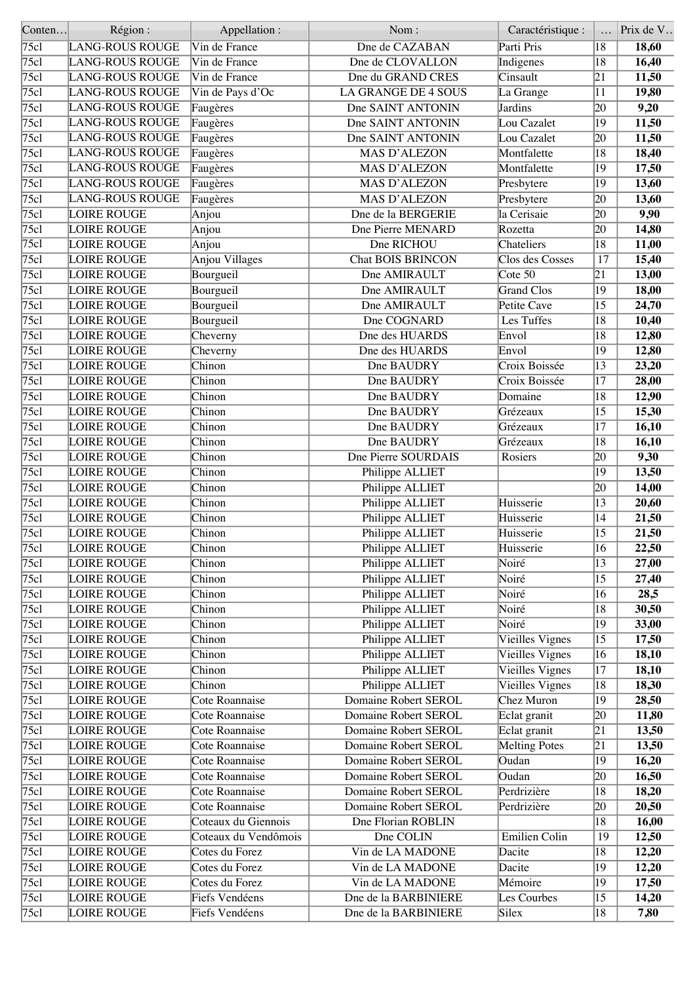| Conten       | Région:                | Appellation:         | Nom:                       | Caractéristique :            |                 | Prix de V |
|--------------|------------------------|----------------------|----------------------------|------------------------------|-----------------|-----------|
| 75cl         | LANG-ROUS ROUGE        | Vin de France        | Dne de CAZABAN             | Parti Pris                   | 18              | 18,60     |
| 75c1         | <b>LANG-ROUS ROUGE</b> | Vin de France        | Dne de CLOVALLON           | Indigenes                    | 18              | 16,40     |
| 75c1         | <b>LANG-ROUS ROUGE</b> | Vin de France        | Dne du GRAND CRES          | Cinsault                     | $\overline{21}$ | 11,50     |
| 75c1         | <b>LANG-ROUS ROUGE</b> | Vin de Pays d'Oc     | <b>LA GRANGE DE 4 SOUS</b> | La Grange                    | 11              | 19,80     |
| 75c1         | <b>LANG-ROUS ROUGE</b> | Faugères             | Dne SAINT ANTONIN          | Jardins                      | 20              | 9,20      |
| 75c1         | <b>LANG-ROUS ROUGE</b> | Faugères             | Dne SAINT ANTONIN          | Lou Cazalet                  | $\overline{19}$ | 11,50     |
| 75c1         | <b>LANG-ROUS ROUGE</b> | Faugères             | Dne SAINT ANTONIN          | Lou Cazalet                  | 20              | 11,50     |
| 75c1         | <b>LANG-ROUS ROUGE</b> | Faugères             | <b>MAS D'ALEZON</b>        | Montfalette                  | 18              | 18,40     |
| 75c1         | <b>LANG-ROUS ROUGE</b> | Faugères             | <b>MAS D'ALEZON</b>        | Montfalette                  | 19              | 17,50     |
| $\sqrt{75c}$ | <b>LANG-ROUS ROUGE</b> | Faugères             | <b>MAS D'ALEZON</b>        | Presbytere                   | $ 19\rangle$    | 13,60     |
| 75c1         | <b>LANG-ROUS ROUGE</b> | Faugères             | <b>MAS D'ALEZON</b>        | Presbytere                   | 20              | 13,60     |
| 75c1         | <b>LOIRE ROUGE</b>     | Anjou                | Dne de la BERGERIE         | la Cerisaie                  | $ 20\rangle$    | 9,90      |
| 75c1         | <b>LOIRE ROUGE</b>     | Anjou                | Dne Pierre MENARD          | Rozetta                      | 20              | 14,80     |
| 75c1         | <b>LOIRE ROUGE</b>     | Anjou                | Dne RICHOU                 | Chateliers                   | 18              | 11,00     |
| 75c1         | <b>LOIRE ROUGE</b>     | Anjou Villages       | <b>Chat BOIS BRINCON</b>   | Clos des Cosses              | 17              | 15,40     |
| 75c1         | <b>LOIRE ROUGE</b>     | Bourgueil            | Dne AMIRAULT               | $\overline{\text{Cote } 50}$ | 21              | 13,00     |
| 75c1         | <b>LOIRE ROUGE</b>     | Bourgueil            | Dne AMIRAULT               | <b>Grand Clos</b>            | 19              | 18,00     |
| 75c1         | LOIRE ROUGE            | Bourgueil            | Dne AMIRAULT               | Petite Cave                  | 15              | 24,70     |
| 75c1         | <b>LOIRE ROUGE</b>     | Bourgueil            | Dne COGNARD                | Les Tuffes                   | 18              | 10,40     |
| 75c1         | <b>LOIRE ROUGE</b>     | Cheverny             | Dne des HUARDS             | Envol                        | 18              | 12,80     |
| $\sqrt{75c}$ | <b>LOIRE ROUGE</b>     | Cheverny             | Dne des HUARDS             | Envol                        | 19              | 12,80     |
| 75c1         | <b>LOIRE ROUGE</b>     | Chinon               | Dne BAUDRY                 | Croix Boissée                | $ 13\rangle$    | 23,20     |
| 75c1         | <b>LOIRE ROUGE</b>     | Chinon               | Dne BAUDRY                 | Croix Boissée                | 17              | 28,00     |
| 75c1         | <b>LOIRE ROUGE</b>     | Chinon               | Dne BAUDRY                 | Domaine                      | 18              | 12,90     |
| 75c1         | <b>LOIRE ROUGE</b>     | Chinon               | Dne BAUDRY                 | Grézeaux                     | 15              | 15,30     |
| 75c1         |                        | Chinon               | Dne BAUDRY                 | Grézeaux                     | 17              |           |
|              | <b>LOIRE ROUGE</b>     |                      |                            |                              |                 | 16,10     |
| 75c1         | <b>LOIRE ROUGE</b>     | Chinon               | Dne BAUDRY                 | Grézeaux                     | 18              | 16,10     |
| 75c1         | <b>LOIRE ROUGE</b>     | Chinon               | Dne Pierre SOURDAIS        | Rosiers                      | 20              | 9,30      |
| 75c1         | <b>LOIRE ROUGE</b>     | Chinon               | Philippe ALLIET            |                              | 19              | 13,50     |
| 75c1         | LOIRE ROUGE            | Chinon               | Philippe ALLIET            |                              | 20              | 14,00     |
| 75c1         | <b>LOIRE ROUGE</b>     | Chinon               | Philippe ALLIET            | Huisserie                    | 13              | 20,60     |
| 75c1         | <b>LOIRE ROUGE</b>     | Chinon               | Philippe ALLIET            | Huisserie                    | 14              | 21,50     |
| 75c1         | LOIRE ROUGE            | Chinon               | Philippe ALLIET            | Huisserie                    | 15              | 21,50     |
| 75c1         | <b>LOIRE ROUGE</b>     | Chinon               | Philippe ALLIET            | Huisserie                    | $ 16\rangle$    | 22,50     |
| 75cl         | LOIRE ROUGE            | Chinon               | Philippe ALLIET            | Noiré                        | $ 13\rangle$    | 27,00     |
| 75c1         | <b>LOIRE ROUGE</b>     | Chinon               | Philippe ALLIET            | Noiré                        | 15              | 27,40     |
| 75c1         | <b>LOIRE ROUGE</b>     | Chinon               | Philippe ALLIET            | Noiré                        | 16              | 28,5      |
| 75cl         | <b>LOIRE ROUGE</b>     | Chinon               | Philippe ALLIET            | Noiré                        | 18              | 30,50     |
| 75c1         | <b>LOIRE ROUGE</b>     | Chinon               | Philippe ALLIET            | Noiré                        | 19              | 33,00     |
| 75c1         | <b>LOIRE ROUGE</b>     | Chinon               | Philippe ALLIET            | Vieilles Vignes              | 15              | 17,50     |
| 75cl         | <b>LOIRE ROUGE</b>     | Chinon               | Philippe ALLIET            | Vieilles Vignes              | 16              | 18,10     |
| 75c1         | <b>LOIRE ROUGE</b>     | Chinon               | Philippe ALLIET            | Vieilles Vignes              | 17              | 18,10     |
| 75c1         | <b>LOIRE ROUGE</b>     | Chinon               | Philippe ALLIET            | Vieilles Vignes              | 18              | 18,30     |
| 75cl         | <b>LOIRE ROUGE</b>     | Cote Roannaise       | Domaine Robert SEROL       | <b>Chez Muron</b>            | 19              | 28,50     |
| 75c1         | <b>LOIRE ROUGE</b>     | Cote Roannaise       | Domaine Robert SEROL       | Eclat granit                 | 20              | 11,80     |
| 75c1         | <b>LOIRE ROUGE</b>     | Cote Roannaise       | Domaine Robert SEROL       | Eclat granit                 | 21              | 13,50     |
| 75cl         | <b>LOIRE ROUGE</b>     | Cote Roannaise       | Domaine Robert SEROL       | <b>Melting Potes</b>         | 21              | 13,50     |
| 75c1         | <b>LOIRE ROUGE</b>     | Cote Roannaise       | Domaine Robert SEROL       | Oudan                        | 19              | 16,20     |
| 75cl         | LOIRE ROUGE            | Cote Roannaise       | Domaine Robert SEROL       | Oudan                        | 20              | 16,50     |
| 75cl         | <b>LOIRE ROUGE</b>     | Cote Roannaise       | Domaine Robert SEROL       | Perdrizière                  | 18              | 18,20     |
| 75cl         | <b>LOIRE ROUGE</b>     | Cote Roannaise       | Domaine Robert SEROL       | Perdrizière                  | 20              | 20,50     |
| 75c1         | LOIRE ROUGE            | Coteaux du Giennois  | Dne Florian ROBLIN         |                              | 18              | 16,00     |
| 75cl         | <b>LOIRE ROUGE</b>     | Coteaux du Vendômois | Dne COLIN                  | Emilien Colin                | 19              | 12,50     |
| 75c1         | <b>LOIRE ROUGE</b>     | Cotes du Forez       | Vin de LA MADONE           | Dacite                       | 18              | 12,20     |
| 75cl         | LOIRE ROUGE            | Cotes du Forez       | Vin de LA MADONE           | Dacite                       | 19              | 12,20     |
| 75cl         | <b>LOIRE ROUGE</b>     | Cotes du Forez       | Vin de LA MADONE           | Mémoire                      | 19              | 17,50     |
| 75cl         | <b>LOIRE ROUGE</b>     | Fiefs Vendéens       | Dne de la BARBINIERE       | Les Courbes                  | $ 15\rangle$    | 14,20     |
| 75cl         | <b>LOIRE ROUGE</b>     | Fiefs Vendéens       | Dne de la BARBINIERE       | Silex                        | 18              | 7,80      |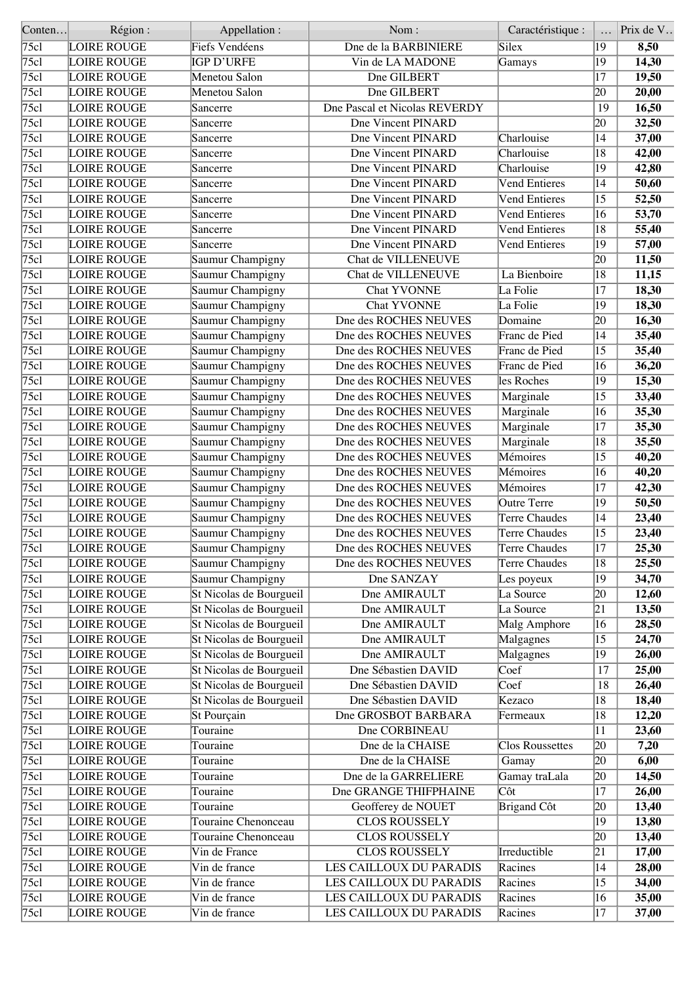| Conten       | Région :                                 | Appellation :           | Nom:                                           | Caractéristique :              |                 | Prix de V |
|--------------|------------------------------------------|-------------------------|------------------------------------------------|--------------------------------|-----------------|-----------|
| 75c1         | <b>LOIRE ROUGE</b>                       | Fiefs Vendéens          | Dne de la BARBINIERE                           | Silex                          | 19              | 8,50      |
| 75c1         | <b>LOIRE ROUGE</b>                       | IGP D'URFE              | Vin de LA MADONE                               | Gamays                         | 19              | 14,30     |
| 75c1         | <b>LOIRE ROUGE</b>                       | Menetou Salon           | Dne GILBERT                                    |                                | 17              | 19,50     |
| 75c1         | <b>LOIRE ROUGE</b>                       | Menetou Salon           | Dne GILBERT                                    |                                | $ 20\rangle$    | 20,00     |
| 75c1         | <b>LOIRE ROUGE</b>                       | Sancerre                | Dne Pascal et Nicolas REVERDY                  |                                | 19              | 16,50     |
| 75c1         | <b>LOIRE ROUGE</b>                       | Sancerre                | Dne Vincent PINARD                             |                                | 20              | 32,50     |
| 75c1         | <b>LOIRE ROUGE</b>                       | Sancerre                | Dne Vincent PINARD                             | Charlouise                     | 14              | 37,00     |
| 75c1         | <b>LOIRE ROUGE</b>                       | Sancerre                | <b>Dne Vincent PINARD</b>                      | Charlouise                     | 18              | 42,00     |
| 75c1         | <b>LOIRE ROUGE</b>                       | Sancerre                | <b>Dne Vincent PINARD</b>                      | Charlouise                     | 19              | 42,80     |
| 75c]         | <b>LOIRE ROUGE</b>                       | Sancerre                | Dne Vincent PINARD                             | <b>Vend Entieres</b>           | 14              | 50,60     |
| 75c1         | <b>LOIRE ROUGE</b>                       | Sancerre                | Dne Vincent PINARD                             | <b>Vend Entieres</b>           | 15              | 52,50     |
| 75c1         | <b>LOIRE ROUGE</b>                       | Sancerre                | Dne Vincent PINARD                             | <b>Vend Entieres</b>           | 16              | 53,70     |
| 75c1         | <b>LOIRE ROUGE</b>                       | Sancerre                | <b>Dne Vincent PINARD</b>                      | <b>Vend Entieres</b>           | 18              | 55,40     |
| 75c1         | <b>LOIRE ROUGE</b>                       | Sancerre                | Dne Vincent PINARD                             | <b>Vend Entieres</b>           | 19              | 57,00     |
| 75c1         | <b>LOIRE ROUGE</b>                       | Saumur Champigny        | Chat de VILLENEUVE                             |                                | 20              | 11,50     |
| 75c1         | <b>LOIRE ROUGE</b>                       | Saumur Champigny        | Chat de VILLENEUVE                             | La Bienboire                   | 18              | 11,15     |
| 75c1         | <b>LOIRE ROUGE</b>                       | Saumur Champigny        | <b>Chat YVONNE</b>                             | La Folie                       | 17              | 18,30     |
| 75c1         | <b>LOIRE ROUGE</b>                       | Saumur Champigny        | <b>Chat YVONNE</b>                             | La Folie                       | 19              | 18,30     |
| 75c1         | <b>LOIRE ROUGE</b>                       | Saumur Champigny        | Dne des ROCHES NEUVES                          | Domaine                        | 20              | 16,30     |
| 75c1         | <b>LOIRE ROUGE</b>                       | Saumur Champigny        | Dne des ROCHES NEUVES                          | Franc de Pied                  | 14              | 35,40     |
| 75c1         | <b>LOIRE ROUGE</b>                       | Saumur Champigny        | Dne des ROCHES NEUVES                          | Franc de Pied                  | 15              | 35,40     |
| 75c1         | <b>LOIRE ROUGE</b>                       | Saumur Champigny        | Dne des ROCHES NEUVES                          | Franc de Pied                  | 16              | 36,20     |
| 75c1         | <b>LOIRE ROUGE</b>                       | Saumur Champigny        | Dne des ROCHES NEUVES                          | les Roches                     | 19              | 15,30     |
| 75c1         | <b>LOIRE ROUGE</b>                       | Saumur Champigny        | Dne des ROCHES NEUVES                          | Marginale                      | 15              | 33,40     |
| 75c1         | <b>LOIRE ROUGE</b>                       | Saumur Champigny        | Dne des ROCHES NEUVES                          | Marginale                      | 16              | 35,30     |
| 75c1         | <b>LOIRE ROUGE</b>                       | Saumur Champigny        | Dne des ROCHES NEUVES                          | Marginale                      | 17              | 35,30     |
| 75c1         | <b>LOIRE ROUGE</b>                       | Saumur Champigny        | Dne des ROCHES NEUVES                          | Marginale                      | 18              | 35,50     |
| 75c1         | <b>LOIRE ROUGE</b>                       |                         | Dne des ROCHES NEUVES                          | Mémoires                       | $ 15\rangle$    | 40,20     |
| 75c1         | <b>LOIRE ROUGE</b>                       | Saumur Champigny        | Dne des ROCHES NEUVES                          | Mémoires                       | 16              | 40,20     |
| 75c1         |                                          | Saumur Champigny        |                                                |                                |                 |           |
| 75c1         | <b>LOIRE ROUGE</b><br><b>LOIRE ROUGE</b> | Saumur Champigny        | Dne des ROCHES NEUVES<br>Dne des ROCHES NEUVES | Mémoires<br><b>Outre Terre</b> | 17<br>19        | 42,30     |
|              |                                          | Saumur Champigny        | Dne des ROCHES NEUVES                          | <b>Terre Chaudes</b>           |                 | 50,50     |
| 75c          | <b>LOIRE ROUGE</b><br><b>LOIRE ROUGE</b> | Saumur Champigny        |                                                | <b>Terre Chaudes</b>           | 14              | 23,40     |
| 75c1         |                                          | Saumur Champigny        | Dne des ROCHES NEUVES                          |                                | $ 15\rangle$    | 23,40     |
| $\sqrt{75c}$ | <b>LOIRE ROUGE</b>                       | Saumur Champigny        | Dne des ROCHES NEUVES                          | Terre Chaudes                  | $\overline{17}$ | 25,30     |
| 75c1         | <b>LOIRE ROUGE</b>                       | Saumur Champigny        | Dne des ROCHES NEUVES                          | Terre Chaudes                  | $ 18\rangle$    | 25,50     |
| 75c1         | <b>LOIRE ROUGE</b>                       | Saumur Champigny        | Dne SANZAY                                     | Les poyeux                     | 19              | 34,70     |
| 75c1         | <b>LOIRE ROUGE</b>                       | St Nicolas de Bourgueil | Dne AMIRAULT                                   | La Source                      | 20              | 12,60     |
| 75cl         | <b>LOIRE ROUGE</b>                       | St Nicolas de Bourgueil | Dne AMIRAULT                                   | La Source                      | 21              | 13,50     |
| 75cl         | <b>LOIRE ROUGE</b>                       | St Nicolas de Bourgueil | Dne AMIRAULT                                   | Malg Amphore                   | 16              | 28,50     |
| 75cl         | <b>LOIRE ROUGE</b>                       | St Nicolas de Bourgueil | Dne AMIRAULT                                   | Malgagnes                      | 15              | 24,70     |
| 75c1         | <b>LOIRE ROUGE</b>                       | St Nicolas de Bourgueil | Dne AMIRAULT                                   | Malgagnes                      | 19              | 26,00     |
| 75c1         | <b>LOIRE ROUGE</b>                       | St Nicolas de Bourgueil | Dne Sébastien DAVID                            | Coef                           | 17              | 25,00     |
| 75c1         | <b>LOIRE ROUGE</b>                       | St Nicolas de Bourgueil | Dne Sébastien DAVID                            | Coef                           | 18              | 26,40     |
| 75c1         | <b>LOIRE ROUGE</b>                       | St Nicolas de Bourgueil | Dne Sébastien DAVID                            | Kezaco                         | 18              | 18,40     |
| 75c1         | <b>LOIRE ROUGE</b>                       | St Pourçain             | Dne GROSBOT BARBARA                            | Fermeaux                       | 18              | 12,20     |
| 75c1         | <b>LOIRE ROUGE</b>                       | Touraine                | Dne CORBINEAU                                  |                                | 11              | 23,60     |
| 75c1         | <b>LOIRE ROUGE</b>                       | Touraine                | Dne de la CHAISE                               | <b>Clos Roussettes</b>         | 20              | 7,20      |
| 75c1         | <b>LOIRE ROUGE</b>                       | Touraine                | Dne de la CHAISE                               | Gamay                          | 20              | 6,00      |
| 75c1         | LOIRE ROUGE                              | Touraine                | Dne de la GARRELIERE                           | Gamay traLala                  | 20              | 14,50     |
| 75cl         | LOIRE ROUGE                              | Touraine                | Dne GRANGE THIFPHAINE                          | Côt                            | 17              | 26,00     |
| 75cl         | <b>LOIRE ROUGE</b>                       | Touraine                | Geofferey de NOUET                             | <b>Brigand Côt</b>             | 20              | 13,40     |
| 75cl         | <b>LOIRE ROUGE</b>                       | Touraine Chenonceau     | <b>CLOS ROUSSELY</b>                           |                                | 19              | 13,80     |
| $\sqrt{75c}$ | <b>LOIRE ROUGE</b>                       | Touraine Chenonceau     | <b>CLOS ROUSSELY</b>                           |                                | 20              | 13,40     |
| 75c1         | <b>LOIRE ROUGE</b>                       | Vin de France           | <b>CLOS ROUSSELY</b>                           | Irreductible                   | 21              | 17,00     |
| 75c1         | LOIRE ROUGE                              | Vin de france           | LES CAILLOUX DU PARADIS                        | Racines                        | 14              | 28,00     |
| 75c1         | LOIRE ROUGE                              | Vin de france           | LES CAILLOUX DU PARADIS                        | Racines                        | $ 15\rangle$    | 34,00     |
| 75cl         | <b>LOIRE ROUGE</b>                       | Vin de france           | LES CAILLOUX DU PARADIS                        | Racines                        | 16              | 35,00     |
| 75c1         | <b>LOIRE ROUGE</b>                       | Vin de france           | LES CAILLOUX DU PARADIS                        | Racines                        | $ 17\rangle$    | 37,00     |